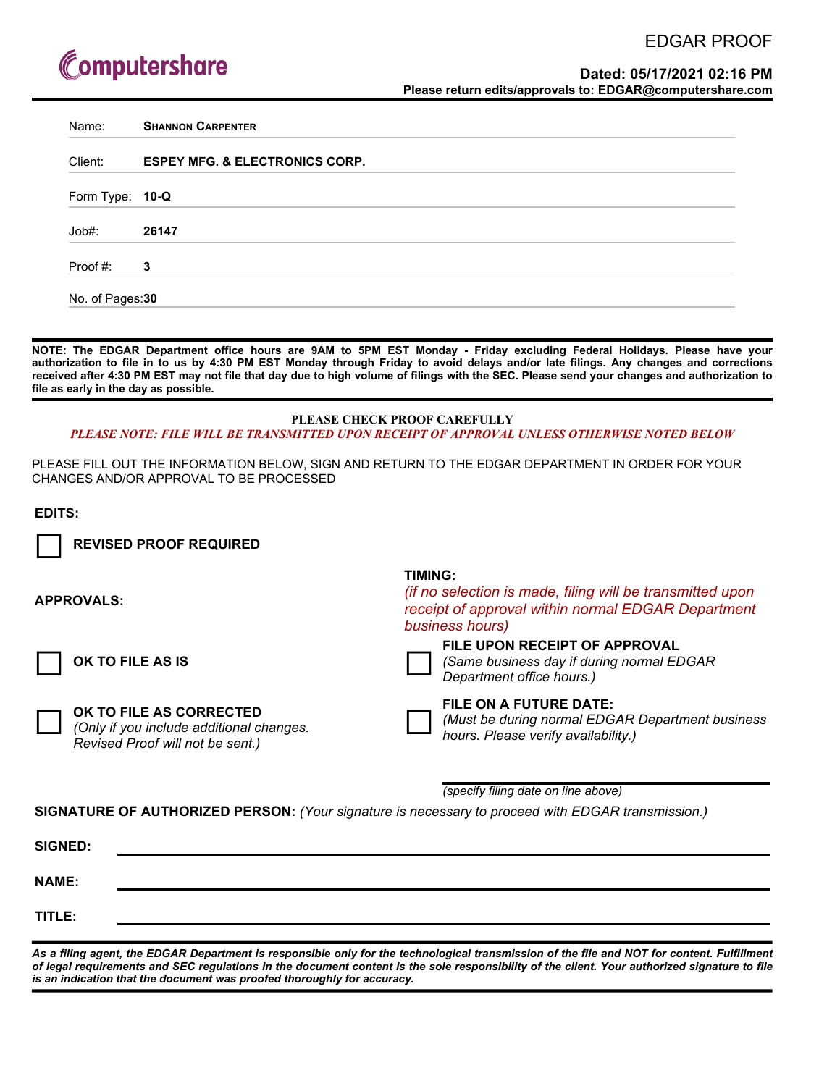# Computershare

## EDGAR PROOF

## **Dated: 05/17/2021 02:16 PM Please return edits/approvals to: EDGAR@computershare.com**

| Name:           | <b>SHANNON CARPENTER</b>                  |
|-----------------|-------------------------------------------|
| Client:         | <b>ESPEY MFG. &amp; ELECTRONICS CORP.</b> |
| Form Type: 10-Q |                                           |
| $Job#$ :        | 26147                                     |
| Proof #:        | 3                                         |

**NOTE: The EDGAR Department office hours are 9AM to 5PM EST Monday - Friday excluding Federal Holidays. Please have your authorization to file in to us by 4:30 PM EST Monday through Friday to avoid delays and/or late filings. Any changes and corrections received after 4:30 PM EST may not file that day due to high volume of filings with the SEC. Please send your changes and authorization to file as early in the day as possible.**

#### **PLEASE CHECK PROOF CAREFULLY** *PLEASE NOTE: FILE WILL BE TRANSMITTED UPON RECEIPT OF APPROVAL UNLESS OTHERWISE NOTED BELOW*

PLEASE FILL OUT THE INFORMATION BELOW, SIGN AND RETURN TO THE EDGAR DEPARTMENT IN ORDER FOR YOUR CHANGES AND/OR APPROVAL TO BE PROCESSED

**EDITS:**

 $\Box$ 

☐ **REVISED PROOF REQUIRED**

**APPROVALS:**

**OK TO FILE AS IS** 

**OK TO FILE AS CORRECTED** *(Only if you include additional changes. Revised Proof will not be sent.)*

**TIMING:** 

 $\Box$ 

*(if no selection is made, filing will be transmitted upon receipt of approval within normal EDGAR Department business hours)*

| FILE UPON RECEIPT OF APPROVAL          |  |
|----------------------------------------|--|
| (Same business day if during normal EL |  |

*(Same business day if during normal EDGAR Department office hours.)*

**FILE ON A FUTURE DATE:** *(Must be during normal EDGAR Department business hours. Please verify availability.)*

*(specify filing date on line above)*

**SIGNATURE OF AUTHORIZED PERSON:** *(Your signature is necessary to proceed with EDGAR transmission.)*

| <b>SIGNED:</b> |  |
|----------------|--|
| <b>NAME:</b>   |  |
| TITLE:         |  |

As a filing agent, the EDGAR Department is responsible only for the technological transmission of the file and NOT for content. Fulfillment *of legal requirements and SEC regulations in the document content is the sole responsibility of the client. Your authorized signature to file is an indication that the document was proofed thoroughly for accuracy.*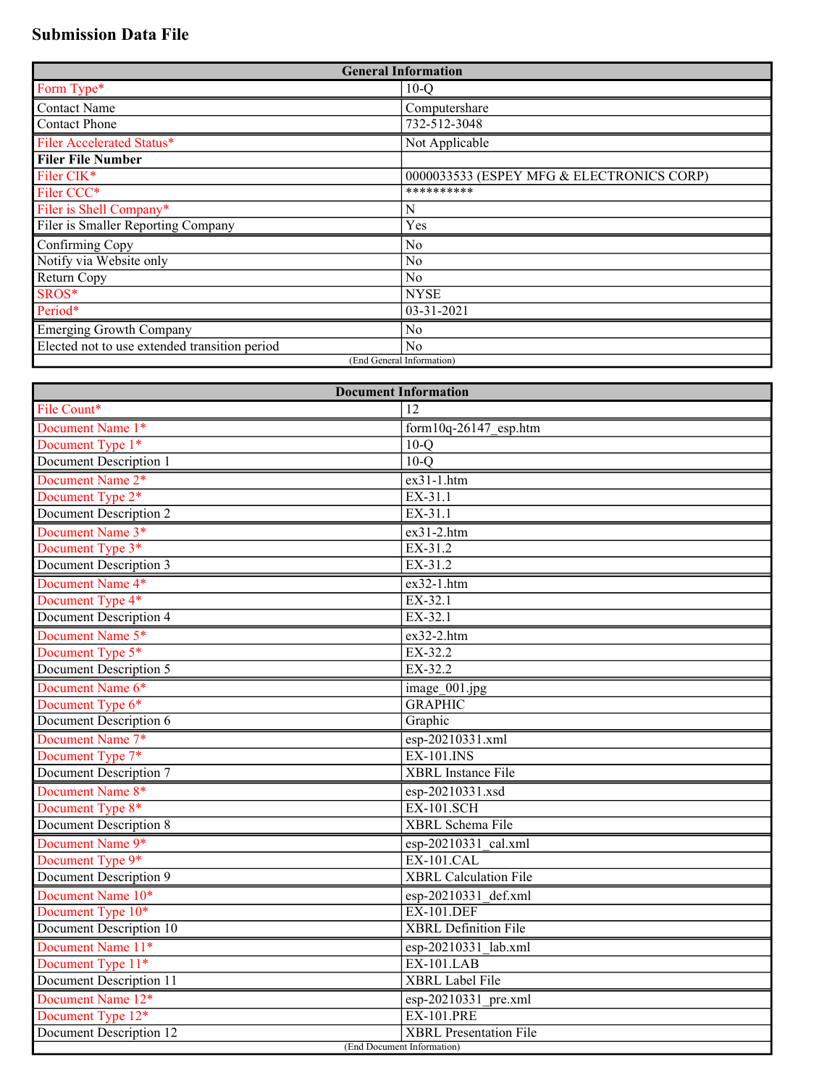## **Submission Data File**

| <b>General Information</b>                    |                                           |  |  |  |  |
|-----------------------------------------------|-------------------------------------------|--|--|--|--|
| Form Type*                                    | $10-Q$                                    |  |  |  |  |
| <b>Contact Name</b>                           | Computershare                             |  |  |  |  |
| <b>Contact Phone</b>                          | 732-512-3048                              |  |  |  |  |
| Filer Accelerated Status*                     | Not Applicable                            |  |  |  |  |
| <b>Filer File Number</b>                      |                                           |  |  |  |  |
| Filer CIK*                                    | 0000033533 (ESPEY MFG & ELECTRONICS CORP) |  |  |  |  |
| Filer CCC*                                    | **********                                |  |  |  |  |
| Filer is Shell Company*                       | N                                         |  |  |  |  |
| Filer is Smaller Reporting Company            | Yes                                       |  |  |  |  |
| Confirming Copy                               | N <sub>o</sub>                            |  |  |  |  |
| Notify via Website only                       | No                                        |  |  |  |  |
| Return Copy                                   | N <sub>o</sub>                            |  |  |  |  |
| SROS*                                         | <b>NYSE</b>                               |  |  |  |  |
| Period*                                       | $03 - 31 - 2021$                          |  |  |  |  |
| <b>Emerging Growth Company</b>                | No                                        |  |  |  |  |
| Elected not to use extended transition period | No                                        |  |  |  |  |
| (End General Information)                     |                                           |  |  |  |  |

| <b>Document Information</b>    |                               |  |  |  |
|--------------------------------|-------------------------------|--|--|--|
| File Count*                    | 12                            |  |  |  |
| Document Name 1*               | $form10q-26147$ esp.htm       |  |  |  |
| Document Type 1*               | $10-Q$                        |  |  |  |
| <b>Document Description 1</b>  | $10-Q$                        |  |  |  |
| Document Name 2*               | $ex31-1.htm$                  |  |  |  |
| Document Type 2*               | EX-31.1                       |  |  |  |
| <b>Document Description 2</b>  | EX-31.1                       |  |  |  |
| Document Name 3*               | $ex31-2.htm$                  |  |  |  |
| Document Type 3*               | EX-31.2                       |  |  |  |
| <b>Document Description 3</b>  | EX-31.2                       |  |  |  |
| Document Name 4*               | $ex32-1.htm$                  |  |  |  |
| Document Type 4*               | EX-32.1                       |  |  |  |
| <b>Document Description 4</b>  | EX-32.1                       |  |  |  |
| Document Name 5*               | $ex32-2.htm$                  |  |  |  |
| Document Type 5*               | EX-32.2                       |  |  |  |
| Document Description 5         | EX-32.2                       |  |  |  |
| Document Name 6*               | image_001.jpg                 |  |  |  |
| Document Type 6*               | <b>GRAPHIC</b>                |  |  |  |
| Document Description 6         | Graphic                       |  |  |  |
| Document Name 7*               | esp-20210331.xml              |  |  |  |
| Document Type 7*               | <b>EX-101.INS</b>             |  |  |  |
| <b>Document Description 7</b>  | <b>XBRL</b> Instance File     |  |  |  |
| Document Name 8*               | esp-20210331.xsd              |  |  |  |
| Document Type 8*               | $EX-101$ . SCH                |  |  |  |
| <b>Document Description 8</b>  | <b>XBRL</b> Schema File       |  |  |  |
| Document Name 9*               | esp-20210331 cal.xml          |  |  |  |
| Document Type 9*               | $EX-101.CAL$                  |  |  |  |
| Document Description 9         | <b>XBRL</b> Calculation File  |  |  |  |
| Document Name 10*              | esp-20210331 def.xml          |  |  |  |
| Document Type 10*              | <b>EX-101.DEF</b>             |  |  |  |
| Document Description 10        | <b>XBRL</b> Definition File   |  |  |  |
| Document Name 11*              | esp-20210331 lab.xml          |  |  |  |
| Document Type 11*              | $EX-101.LAB$                  |  |  |  |
| <b>Document Description 11</b> | <b>XBRL</b> Label File        |  |  |  |
| Document Name 12*              | esp-20210331 pre.xml          |  |  |  |
| Document Type 12*              | <b>EX-101.PRE</b>             |  |  |  |
| <b>Document Description 12</b> | <b>XBRL</b> Presentation File |  |  |  |
|                                | (End Document Information)    |  |  |  |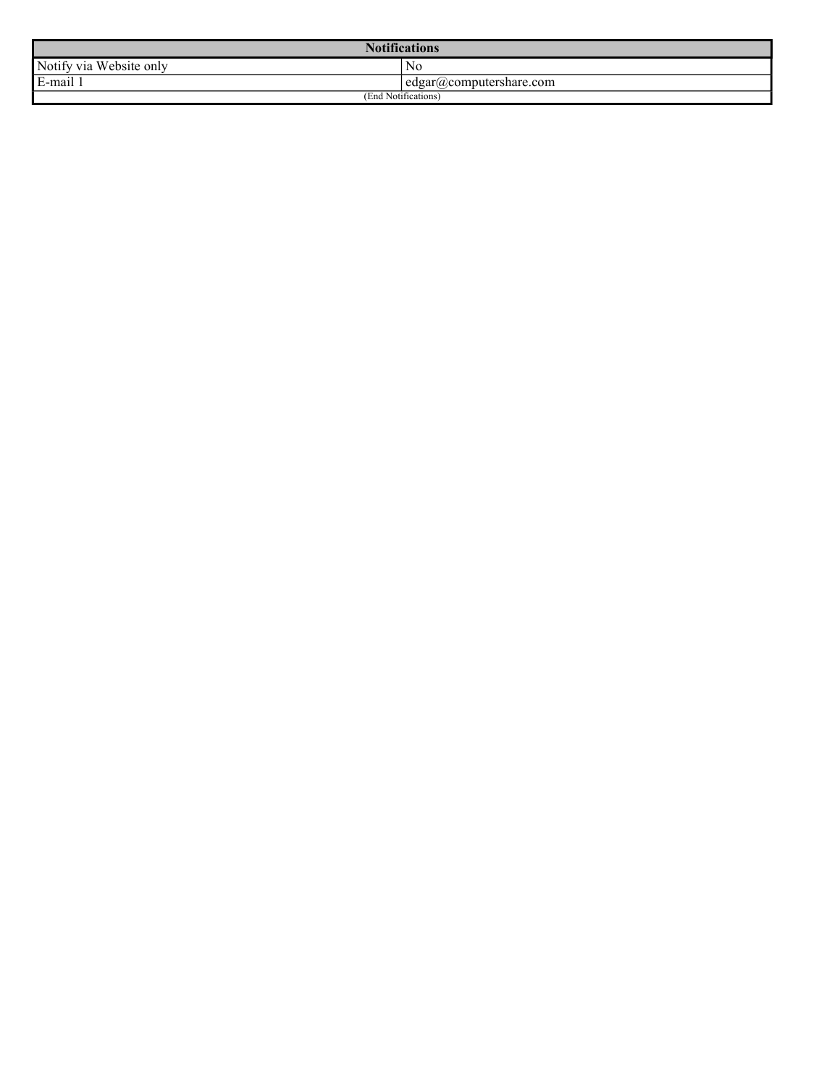| <b>Notifications</b>    |                              |  |  |
|-------------------------|------------------------------|--|--|
| Notify via Website only | No                           |  |  |
| E-mail 1                | $edgar(a)$ computershare.com |  |  |
| (End Notifications)     |                              |  |  |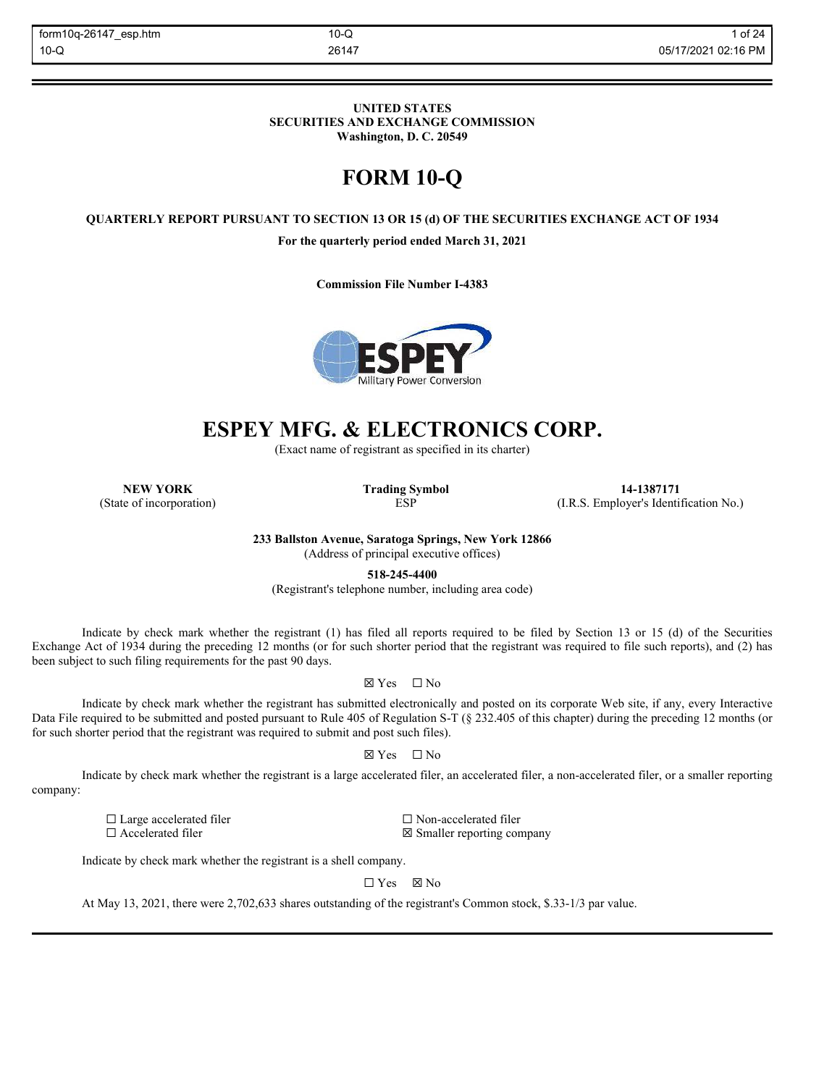#### **UNITED STATES SECURITIES AND EXCHANGE COMMISSION Washington, D. C. 20549**

## **FORM 10-Q**

#### **QUARTERLY REPORT PURSUANT TO SECTION 13 OR 15 (d) OF THE SECURITIES EXCHANGE ACT OF 1934**

**For the quarterly period ended March 31, 2021**

**Commission File Number I-4383**



## **ESPEY MFG. & ELECTRONICS CORP.**

(Exact name of registrant as specified in its charter)

**NEW YORK Trading Symbol 14-1387171** (State of incorporation) ESP (I.R.S. Employer's Identification No.)

**233 Ballston Avenue, Saratoga Springs, New York 12866**

(Address of principal executive offices)

**518-245-4400**

(Registrant's telephone number, including area code)

Indicate by check mark whether the registrant (1) has filed all reports required to be filed by Section 13 or 15 (d) of the Securities Exchange Act of 1934 during the preceding 12 months (or for such shorter period that the registrant was required to file such reports), and (2) has been subject to such filing requirements for the past 90 days.

 $\boxtimes$  Yes  $\Box$  No

Indicate by check mark whether the registrant has submitted electronically and posted on its corporate Web site, if any, every Interactive Data File required to be submitted and posted pursuant to Rule 405 of Regulation S-T (§ 232.405 of this chapter) during the preceding 12 months (or for such shorter period that the registrant was required to submit and post such files).

☒ Yes ☐ No

Indicate by check mark whether the registrant is a large accelerated filer, an accelerated filer, a non-accelerated filer, or a smaller reporting company:

☐ Large accelerated filer ☐ Non-accelerated filer

 $\boxtimes$  Smaller reporting company

Indicate by check mark whether the registrant is a shell company.

☐ Yes ☒ No

At May 13, 2021, there were 2,702,633 shares outstanding of the registrant's Common stock, \$.33-1/3 par value.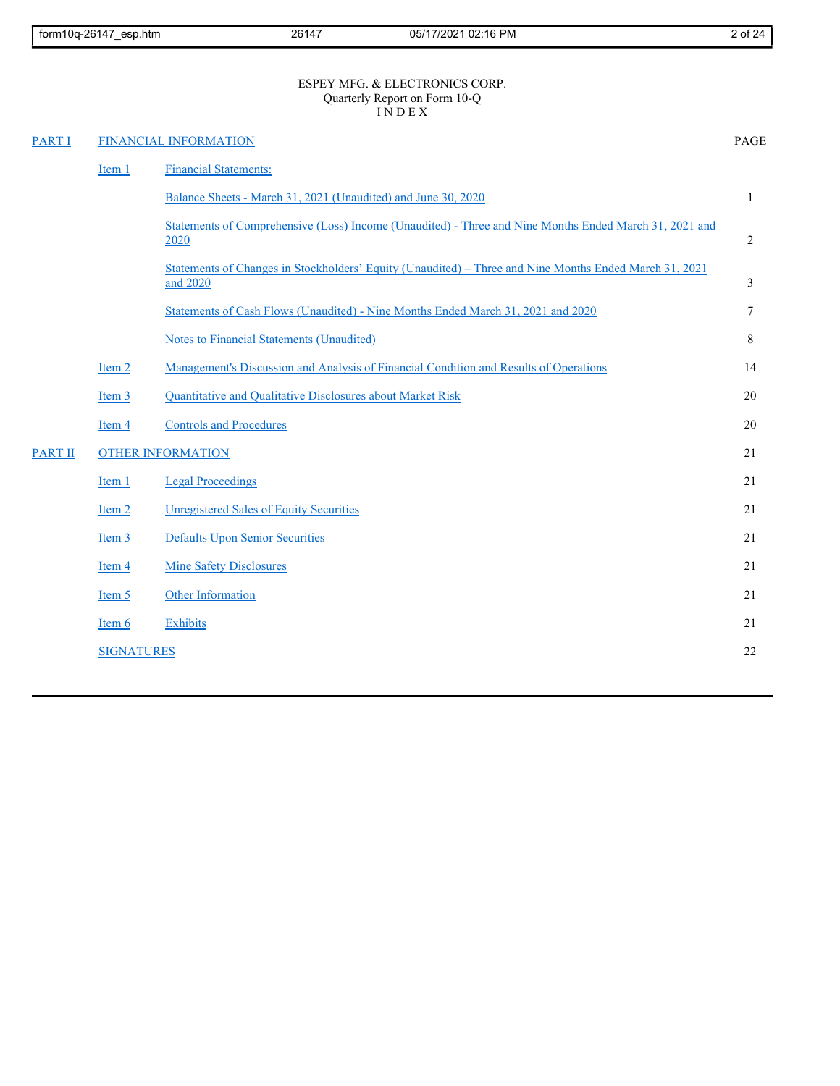| form10q-26147_esp.htm |  |
|-----------------------|--|
|-----------------------|--|

#### ESPEY MFG. & ELECTRONICS CORP. Quarterly Report on Form 10-Q I N D E X

| <b>PARTI</b>   |                   | <b>FINANCIAL INFORMATION</b>                                                                                       | PAGE         |
|----------------|-------------------|--------------------------------------------------------------------------------------------------------------------|--------------|
|                | Item 1            | <b>Financial Statements:</b>                                                                                       |              |
|                |                   | Balance Sheets - March 31, 2021 (Unaudited) and June 30, 2020                                                      | $\mathbf{1}$ |
|                |                   | Statements of Comprehensive (Loss) Income (Unaudited) - Three and Nine Months Ended March 31, 2021 and<br>2020     | 2            |
|                |                   | Statements of Changes in Stockholders' Equity (Unaudited) – Three and Nine Months Ended March 31, 2021<br>and 2020 | 3            |
|                |                   | Statements of Cash Flows (Unaudited) - Nine Months Ended March 31, 2021 and 2020                                   | 7            |
|                |                   | Notes to Financial Statements (Unaudited)                                                                          | 8            |
|                | Item 2            | Management's Discussion and Analysis of Financial Condition and Results of Operations                              | 14           |
|                | Item 3            | Quantitative and Qualitative Disclosures about Market Risk                                                         | 20           |
|                | Item 4            | <b>Controls and Procedures</b>                                                                                     | 20           |
| <b>PART II</b> |                   | <b>OTHER INFORMATION</b>                                                                                           | 21           |
|                | Item 1            | <b>Legal Proceedings</b>                                                                                           | 21           |
|                | Item 2            | <b>Unregistered Sales of Equity Securities</b>                                                                     | 21           |
|                | Item 3            | <b>Defaults Upon Senior Securities</b>                                                                             | 21           |
|                | Item 4            | <b>Mine Safety Disclosures</b>                                                                                     | 21           |
|                | Item 5            | Other Information                                                                                                  | 21           |
|                | Item 6            | <b>Exhibits</b>                                                                                                    | 21           |
|                | <b>SIGNATURES</b> |                                                                                                                    | 22           |
|                |                   |                                                                                                                    |              |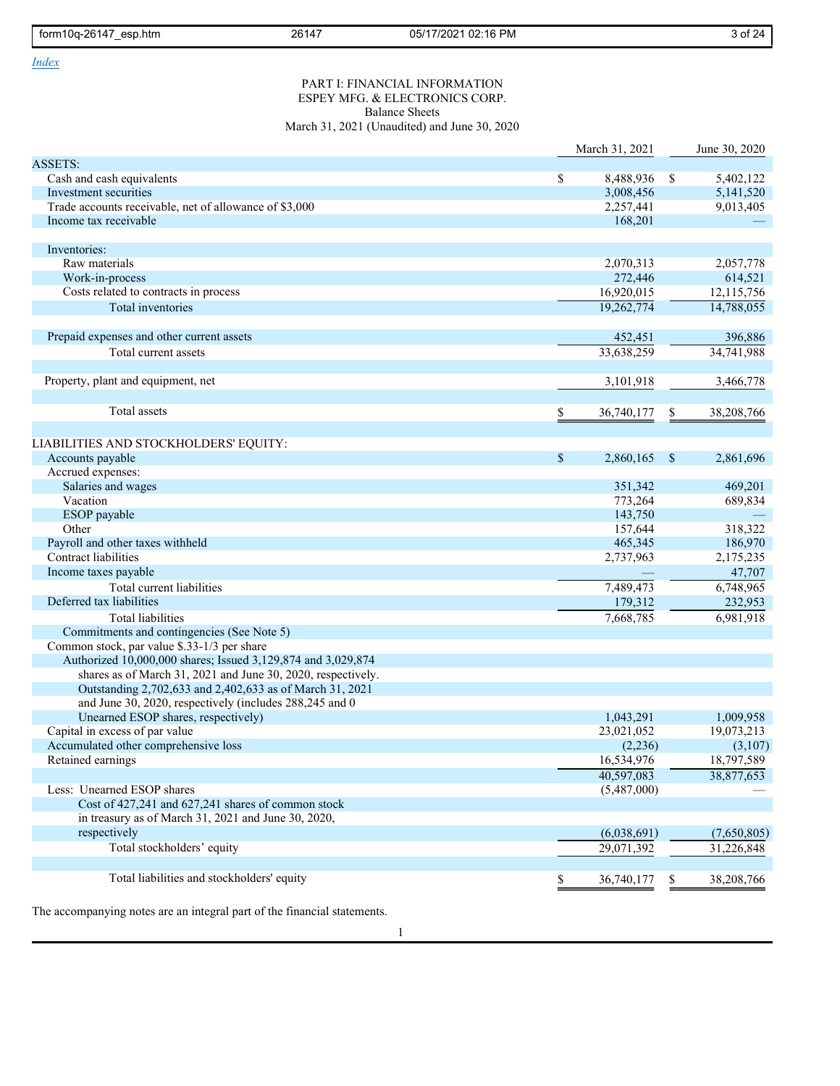#### PART I: FINANCIAL INFORMATION ESPEY MFG. & ELECTRONICS CORP. Balance Sheets March 31, 2021 (Unaudited) and June 30, 2020

|                                                              | March 31, 2021   |                           | June 30, 2020 |
|--------------------------------------------------------------|------------------|---------------------------|---------------|
| <b>ASSETS:</b>                                               |                  |                           |               |
| Cash and cash equivalents                                    | \$<br>8,488,936  | -S                        | 5,402,122     |
| Investment securities                                        | 3,008,456        |                           | 5,141,520     |
| Trade accounts receivable, net of allowance of \$3,000       | 2,257,441        |                           | 9,013,405     |
| Income tax receivable                                        | 168,201          |                           |               |
|                                                              |                  |                           |               |
| Inventories:                                                 |                  |                           |               |
| Raw materials                                                | 2,070,313        |                           | 2,057,778     |
| Work-in-process                                              | 272,446          |                           | 614,521       |
| Costs related to contracts in process                        | 16,920,015       |                           | 12,115,756    |
| Total inventories                                            | 19,262,774       |                           | 14,788,055    |
|                                                              |                  |                           |               |
| Prepaid expenses and other current assets                    | 452,451          |                           | 396,886       |
| Total current assets                                         | 33,638,259       |                           | 34,741,988    |
|                                                              |                  |                           |               |
| Property, plant and equipment, net                           | 3,101,918        |                           | 3,466,778     |
|                                                              |                  |                           |               |
| Total assets                                                 | \$<br>36,740,177 |                           | 38,208,766    |
|                                                              |                  |                           |               |
|                                                              |                  |                           |               |
| LIABILITIES AND STOCKHOLDERS' EQUITY:                        |                  |                           |               |
| Accounts payable                                             | \$<br>2,860,165  | $\boldsymbol{\mathsf{S}}$ | 2,861,696     |
| Accrued expenses:                                            |                  |                           |               |
| Salaries and wages                                           | 351,342          |                           | 469,201       |
| Vacation                                                     | 773,264          |                           | 689,834       |
| ESOP payable                                                 | 143,750          |                           |               |
| Other                                                        | 157,644          |                           | 318,322       |
| Payroll and other taxes withheld                             | 465,345          |                           | 186,970       |
| Contract liabilities                                         | 2,737,963        |                           | 2,175,235     |
| Income taxes payable                                         |                  |                           | 47,707        |
| Total current liabilities                                    | 7,489,473        |                           | 6,748,965     |
| Deferred tax liabilities                                     | 179,312          |                           | 232,953       |
| <b>Total liabilities</b>                                     | 7,668,785        |                           | 6,981,918     |
| Commitments and contingencies (See Note 5)                   |                  |                           |               |
| Common stock, par value \$.33-1/3 per share                  |                  |                           |               |
| Authorized 10,000,000 shares; Issued 3,129,874 and 3,029,874 |                  |                           |               |
| shares as of March 31, 2021 and June 30, 2020, respectively. |                  |                           |               |
| Outstanding 2,702,633 and 2,402,633 as of March 31, 2021     |                  |                           |               |
| and June 30, 2020, respectively (includes 288,245 and 0      |                  |                           |               |
| Unearned ESOP shares, respectively)                          | 1.043.291        |                           | 1,009,958     |
| Capital in excess of par value                               | 23,021,052       |                           | 19,073,213    |
| Accumulated other comprehensive loss                         | (2, 236)         |                           | (3,107)       |
| Retained earnings                                            | 16,534,976       |                           | 18,797,589    |
|                                                              | 40,597,083       |                           | 38,877,653    |
| Less: Unearned ESOP shares                                   | (5,487,000)      |                           |               |
| Cost of 427,241 and 627,241 shares of common stock           |                  |                           |               |
| in treasury as of March 31, 2021 and June 30, 2020,          |                  |                           |               |
| respectively                                                 | (6,038,691)      |                           | (7,650,805)   |
| Total stockholders' equity                                   | 29,071,392       |                           | 31,226,848    |
|                                                              |                  |                           |               |
| Total liabilities and stockholders' equity                   | \$<br>36,740,177 |                           | 38,208,766    |
|                                                              |                  |                           |               |

The accompanying notes are an integral part of the financial statements.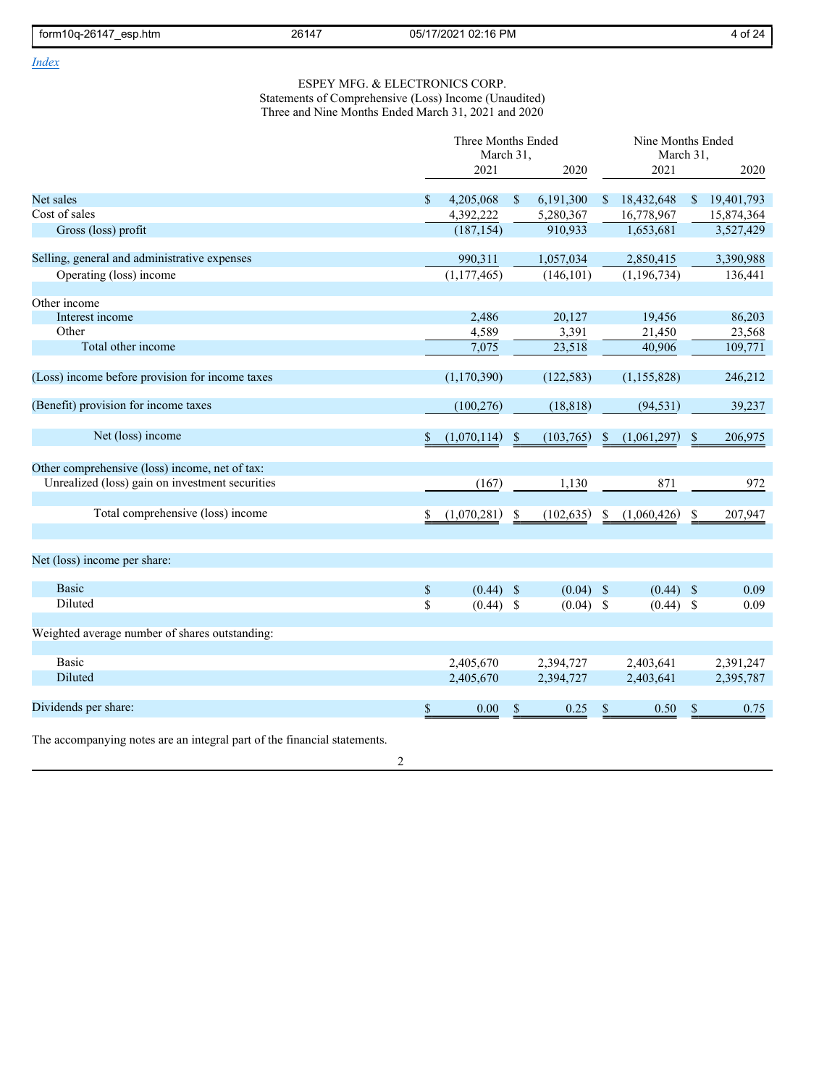| $for m10a-26147$<br>esp.htm<br>- | 26147 | 02:16 PM<br>05/17/2021 | 4 of 2-.<br>- 24 |
|----------------------------------|-------|------------------------|------------------|
|----------------------------------|-------|------------------------|------------------|

| ۰.<br>۰.<br>. .<br>۰ | P.<br>٠<br>۱ |
|----------------------|--------------|
|                      |              |

#### ESPEY MFG. & ELECTRONICS CORP.

Statements of Comprehensive (Loss) Income (Unaudited) Three and Nine Months Ended March 31, 2021 and 2020

|                                                                          | Three Months Ended<br>Nine Months Ended |               |               |             |               |               |               |            |
|--------------------------------------------------------------------------|-----------------------------------------|---------------|---------------|-------------|---------------|---------------|---------------|------------|
|                                                                          | March 31,                               |               |               |             | March 31,     |               |               |            |
|                                                                          |                                         | 2021          |               | 2020        |               | 2021          |               | 2020       |
| Net sales                                                                | \$                                      | 4,205,068     | <sup>\$</sup> | 6,191,300   | <sup>\$</sup> | 18,432,648    | <sup>\$</sup> | 19,401,793 |
| Cost of sales                                                            |                                         | 4,392,222     |               | 5,280,367   |               | 16,778,967    |               | 15,874,364 |
| Gross (loss) profit                                                      |                                         | (187, 154)    |               | 910,933     |               | 1,653,681     |               | 3,527,429  |
| Selling, general and administrative expenses                             |                                         | 990,311       |               | 1,057,034   |               | 2,850,415     |               | 3,390,988  |
| Operating (loss) income                                                  |                                         | (1, 177, 465) |               | (146, 101)  |               | (1, 196, 734) |               | 136,441    |
| Other income                                                             |                                         |               |               |             |               |               |               |            |
| Interest income                                                          |                                         | 2,486         |               | 20,127      |               | 19,456        |               | 86,203     |
| Other                                                                    |                                         | 4,589         |               | 3,391       |               | 21,450        |               | 23,568     |
| Total other income                                                       |                                         | 7,075         |               | 23,518      |               | 40,906        |               | 109,771    |
| (Loss) income before provision for income taxes                          |                                         | (1, 170, 390) |               | (122, 583)  |               | (1, 155, 828) |               | 246,212    |
| (Benefit) provision for income taxes                                     |                                         | (100, 276)    |               | (18, 818)   |               | (94, 531)     |               | 39,237     |
| Net (loss) income                                                        | \$                                      | (1,070,114)   | \$            | (103, 765)  | S             | (1,061,297)   | $\mathcal{S}$ | 206,975    |
| Other comprehensive (loss) income, net of tax:                           |                                         |               |               |             |               |               |               |            |
| Unrealized (loss) gain on investment securities                          |                                         | (167)         |               | 1.130       |               | 871           |               | 972        |
| Total comprehensive (loss) income                                        | \$                                      | (1,070,281)   | \$            | (102, 635)  | \$            | (1,060,426)   | \$            | 207,947    |
| Net (loss) income per share:                                             |                                         |               |               |             |               |               |               |            |
| <b>Basic</b>                                                             | \$                                      | $(0.44)$ \$   |               | $(0.04)$ \$ |               | $(0.44)$ \$   |               | 0.09       |
| Diluted                                                                  | \$                                      | $(0.44)$ \$   |               | $(0.04)$ \$ |               | $(0.44)$ \$   |               | 0.09       |
| Weighted average number of shares outstanding:                           |                                         |               |               |             |               |               |               |            |
|                                                                          |                                         |               |               |             |               |               |               |            |
| <b>Basic</b>                                                             |                                         | 2,405,670     |               | 2,394,727   |               | 2,403,641     |               | 2,391,247  |
| <b>Diluted</b>                                                           |                                         | 2,405,670     |               | 2,394,727   |               | 2,403,641     |               | 2,395,787  |
| Dividends per share:                                                     | \$                                      | 0.00          | \$            | 0.25        | \$            | 0.50          | \$            | 0.75       |
| The accompanying notes are an integral part of the financial statements. |                                         |               |               |             |               |               |               |            |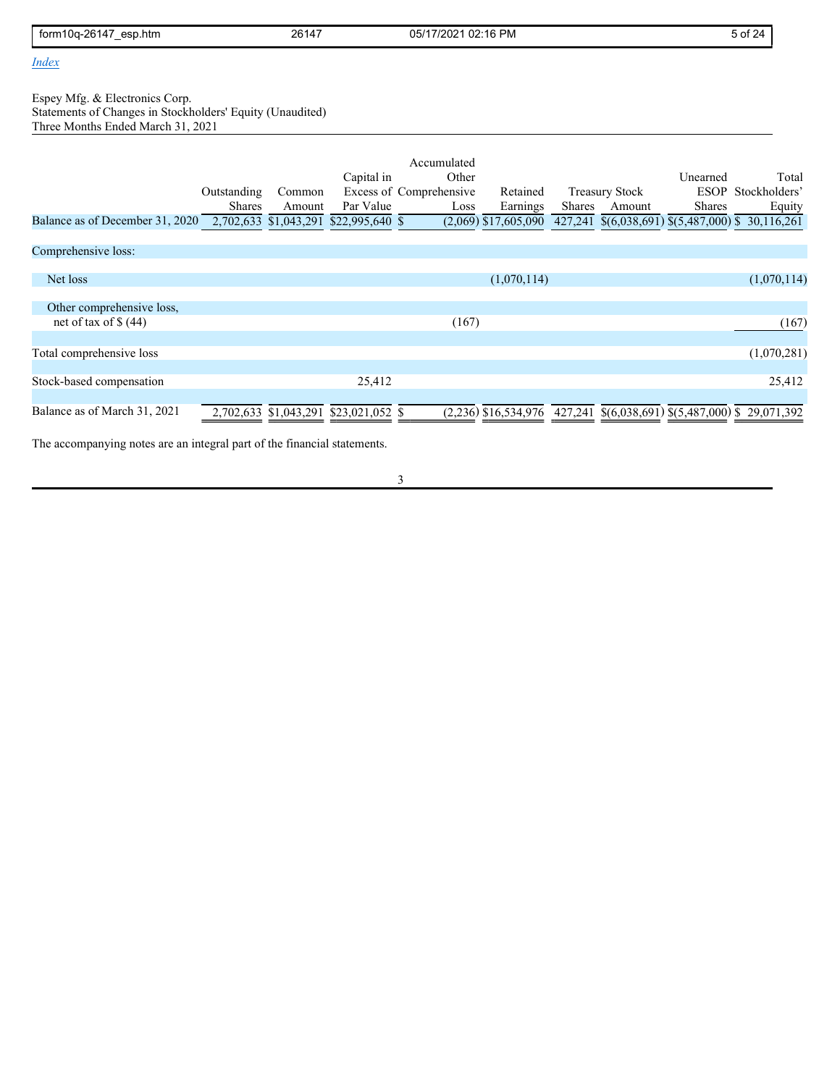| form10q-26147 esp.htm                                                                                                            |               | 26147                 |                                       | 05/17/2021 02:16 PM     |                        |               |                       |                                                   | 5 of 24            |        |
|----------------------------------------------------------------------------------------------------------------------------------|---------------|-----------------------|---------------------------------------|-------------------------|------------------------|---------------|-----------------------|---------------------------------------------------|--------------------|--------|
| Index                                                                                                                            |               |                       |                                       |                         |                        |               |                       |                                                   |                    |        |
| Espey Mfg. & Electronics Corp.<br>Statements of Changes in Stockholders' Equity (Unaudited)<br>Three Months Ended March 31, 2021 |               |                       |                                       |                         |                        |               |                       |                                                   |                    |        |
|                                                                                                                                  |               |                       |                                       | Accumulated             |                        |               |                       |                                                   |                    |        |
|                                                                                                                                  |               |                       | Capital in                            | Other                   |                        |               |                       | Unearned                                          |                    | Total  |
|                                                                                                                                  | Outstanding   | Common                |                                       | Excess of Comprehensive | Retained               |               | <b>Treasury Stock</b> |                                                   | ESOP Stockholders' |        |
|                                                                                                                                  | <b>Shares</b> | Amount                | Par Value                             | Loss                    | Earnings               | <b>Shares</b> | Amount                | <b>Shares</b>                                     |                    | Equity |
| Balance as of December 31, 2020                                                                                                  |               | 2,702,633 \$1,043,291 | \$22,995,640 \$                       |                         | $(2,069)$ \$17,605,090 |               |                       | 427,241 \$(6,038,691) \$(5,487,000) \$ 30,116,261 |                    |        |
| Comprehensive loss:                                                                                                              |               |                       |                                       |                         |                        |               |                       |                                                   |                    |        |
| Net loss                                                                                                                         |               |                       |                                       |                         | (1,070,114)            |               |                       |                                                   | (1,070,114)        |        |
| Other comprehensive loss,                                                                                                        |               |                       |                                       |                         |                        |               |                       |                                                   |                    |        |
| net of tax of $\$(44)$                                                                                                           |               |                       |                                       | (167)                   |                        |               |                       |                                                   |                    | (167)  |
| Total comprehensive loss                                                                                                         |               |                       |                                       |                         |                        |               |                       |                                                   | (1,070,281)        |        |
|                                                                                                                                  |               |                       |                                       |                         |                        |               |                       |                                                   |                    |        |
| Stock-based compensation                                                                                                         |               |                       | 25,412                                |                         |                        |               |                       |                                                   |                    | 25,412 |
| Balance as of March 31, 2021                                                                                                     |               |                       | 2,702,633 \$1,043,291 \$23,021,052 \$ |                         | $(2,236)$ \$16,534,976 |               |                       | 427,241 \$(6,038,691) \$(5,487,000) \$29,071,392  |                    |        |

The accompanying notes are an integral part of the financial statements.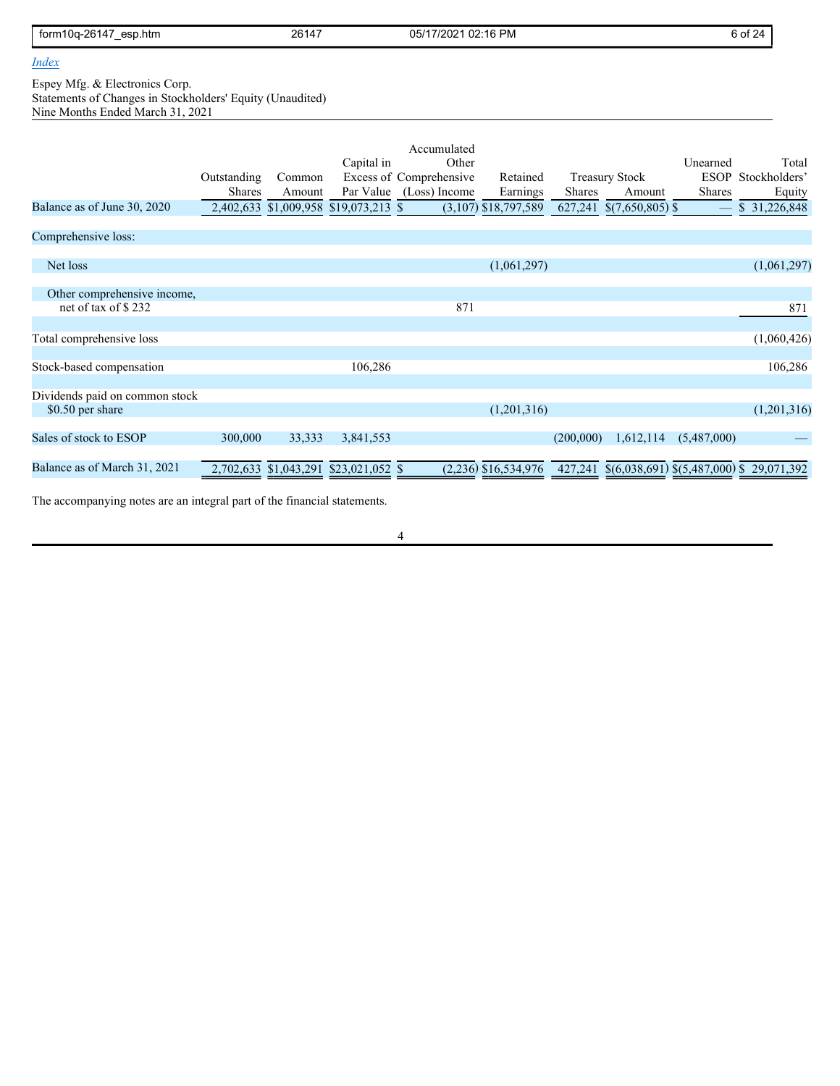| $\overline{\phantom{a}}$<br>$\sim$ $\sim$ $\sim$<br>torm<br>esp.htm<br>. 0a-2614 ′<br>- | 26117<br>26147 | 16 PM<br>ົ<br>- ۱۵۴<br>15/1<br>.<br>10.<br>77202<br>UZ.<br>◡◡ | $\cdot$ |
|-----------------------------------------------------------------------------------------|----------------|---------------------------------------------------------------|---------|
|                                                                                         |                |                                                               |         |

## Espey Mfg. & Electronics Corp.

Statements of Changes in Stockholders' Equity (Unaudited) Nine Months Ended March 31, 2021

| Balance as of June 30, 2020                        | Outstanding<br><b>Shares</b> | Common<br>Amount | Capital in<br>Par Value<br>2,402,633 \$1,009,958 \$19,073,213 \$ | Accumulated<br>Other<br>Excess of Comprehensive<br>(Loss) Income | Retained<br>Earnings<br>$(3,107)$ \$18,797,589 | <b>Shares</b><br>627,241 | <b>Treasury Stock</b><br>Amount<br>\$(7,650,805) | Unearned<br><b>Shares</b> | Total<br>ESOP Stockholders'<br>Equity<br>\$ 31,226,848 |
|----------------------------------------------------|------------------------------|------------------|------------------------------------------------------------------|------------------------------------------------------------------|------------------------------------------------|--------------------------|--------------------------------------------------|---------------------------|--------------------------------------------------------|
| Comprehensive loss:                                |                              |                  |                                                                  |                                                                  |                                                |                          |                                                  |                           |                                                        |
| Net loss                                           |                              |                  |                                                                  |                                                                  | (1,061,297)                                    |                          |                                                  |                           | (1,061,297)                                            |
| Other comprehensive income,<br>net of tax of \$232 |                              |                  |                                                                  | 871                                                              |                                                |                          |                                                  |                           | 871                                                    |
| Total comprehensive loss                           |                              |                  |                                                                  |                                                                  |                                                |                          |                                                  |                           | (1,060,426)                                            |
| Stock-based compensation                           |                              |                  | 106,286                                                          |                                                                  |                                                |                          |                                                  |                           | 106,286                                                |
| Dividends paid on common stock<br>\$0.50 per share |                              |                  |                                                                  |                                                                  | (1,201,316)                                    |                          |                                                  |                           | (1,201,316)                                            |
| Sales of stock to ESOP                             | 300,000                      | 33,333           | 3,841,553                                                        |                                                                  |                                                | (200,000)                | 1,612,114                                        | (5,487,000)               |                                                        |
| Balance as of March 31, 2021                       | 2,702,633                    | \$1,043,291      | $$23,021,052$ \$                                                 |                                                                  | $(2,236)$ \$16,534,976                         | 427,241                  |                                                  |                           | \$(6,038,691) \$(5,487,000) \$29,071,392               |

The accompanying notes are an integral part of the financial statements.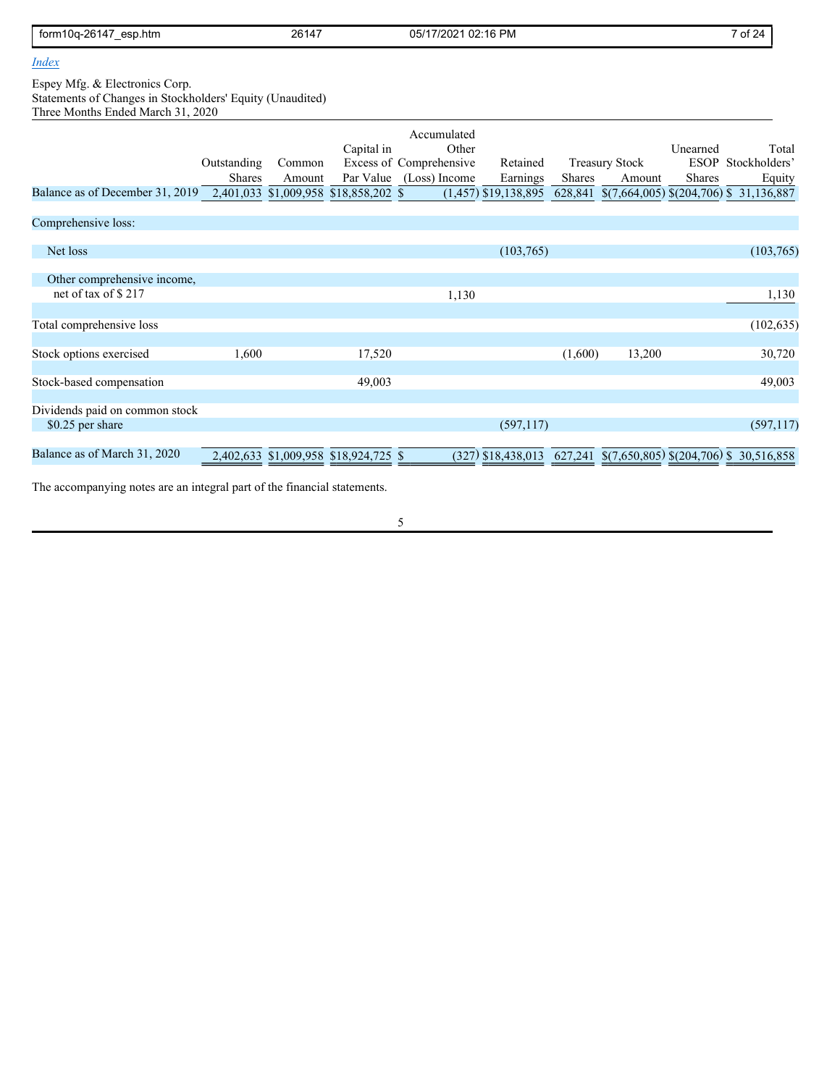| form10q-26147_esp.htm                                                                                                            |                              | 26147            |                                       | 05/17/2021 02:16 PM                                                        |                        |         |                                 |                           | 7 of 24                                                                                                       |
|----------------------------------------------------------------------------------------------------------------------------------|------------------------------|------------------|---------------------------------------|----------------------------------------------------------------------------|------------------------|---------|---------------------------------|---------------------------|---------------------------------------------------------------------------------------------------------------|
| <i>Index</i>                                                                                                                     |                              |                  |                                       |                                                                            |                        |         |                                 |                           |                                                                                                               |
| Espey Mfg. & Electronics Corp.<br>Statements of Changes in Stockholders' Equity (Unaudited)<br>Three Months Ended March 31, 2020 |                              |                  |                                       |                                                                            |                        |         |                                 |                           |                                                                                                               |
|                                                                                                                                  | Outstanding<br><b>Shares</b> | Common<br>Amount | Capital in                            | Accumulated<br>Other<br>Excess of Comprehensive<br>Par Value (Loss) Income | Retained<br>Earnings   | Shares  | <b>Treasury Stock</b><br>Amount | Unearned<br><b>Shares</b> | Total<br>ESOP Stockholders'<br>Equity                                                                         |
| Balance as of December 31, 2019                                                                                                  |                              |                  | 2,401,033 \$1,009,958 \$18,858,202 \$ |                                                                            | $(1,457)$ \$19,138,895 | 628,841 |                                 |                           | \$(7,664,005) \$(204,706) \$31,136,887                                                                        |
| Comprehensive loss:                                                                                                              |                              |                  |                                       |                                                                            |                        |         |                                 |                           |                                                                                                               |
| Net loss                                                                                                                         |                              |                  |                                       |                                                                            | (103,765)              |         |                                 |                           | (103,765)                                                                                                     |
| Other comprehensive income,<br>net of tax of \$217                                                                               |                              |                  |                                       | 1,130                                                                      |                        |         |                                 |                           | 1,130                                                                                                         |
| Total comprehensive loss                                                                                                         |                              |                  |                                       |                                                                            |                        |         |                                 |                           | (102, 635)                                                                                                    |
| Stock options exercised                                                                                                          | 1,600                        |                  | 17,520                                |                                                                            |                        | (1,600) | 13,200                          |                           | 30,720                                                                                                        |
| Stock-based compensation                                                                                                         |                              |                  | 49,003                                |                                                                            |                        |         |                                 |                           | 49,003                                                                                                        |
| Dividends paid on common stock<br>\$0.25 per share                                                                               |                              |                  |                                       |                                                                            | (597, 117)             |         |                                 |                           | (597, 117)                                                                                                    |
| Balance as of March 31, 2020                                                                                                     |                              |                  | 2,402,633 \$1,009,958 \$18,924,725 \$ |                                                                            | $(327)$ \$18,438,013   |         |                                 |                           | $\overline{627,241}$ $\overline{\frac{$(7,650,805)}{$(204,706)}$ $\overline{\frac{$(204,706)}{$(30,516,858)}$ |

The accompanying notes are an integral part of the financial statements.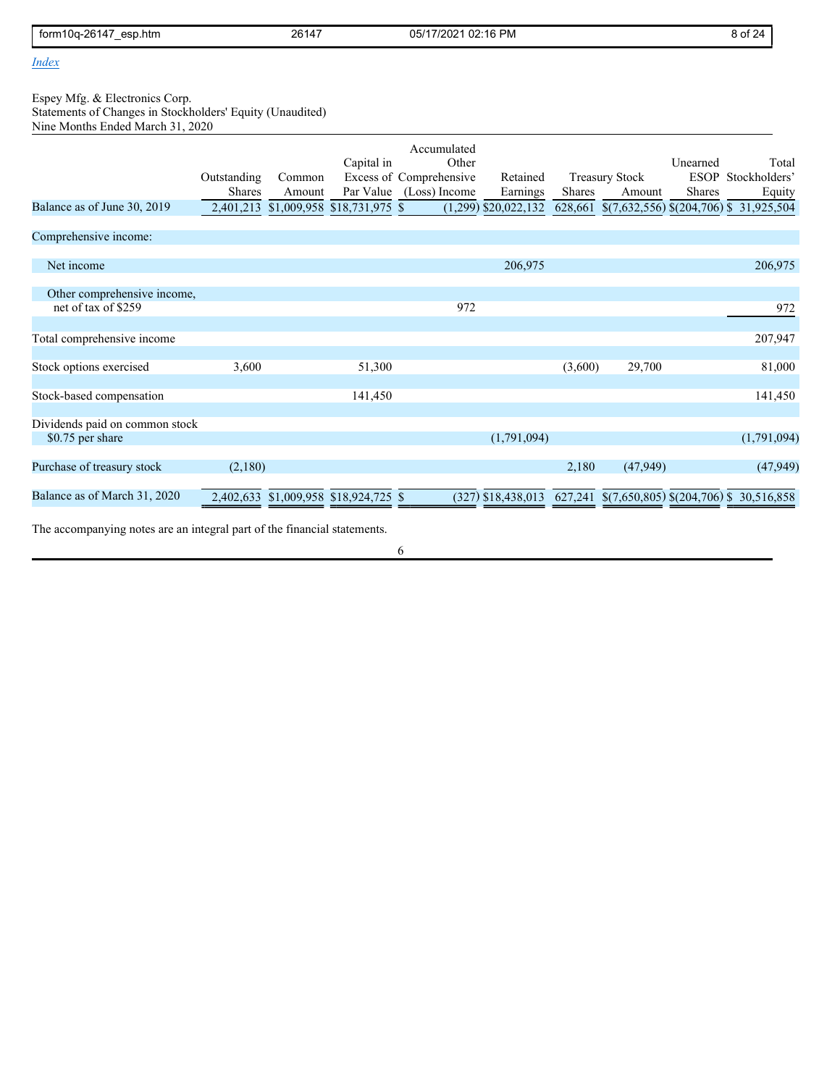| $\overline{\phantom{a}}$<br>$\sim$<br>torn<br>esp.htm<br>ໍາພ<br>-2614<br>.<br>– | $\rightarrow$ $\rightarrow$<br>ົ<br>$\ddot{\phantom{a}}$<br>$\overline{\phantom{a}}$<br>$\cdot$ 12<br>∠∪<br><u>тва</u> | $\sim$ $\sim$ $\sim$<br>$\sim$ 00.4.<br>100 <sup>o</sup><br>05/<br>.<br>⊔™<br>720Z<br>uz<br>.<br>. | - -<br>⊻ of ∠<br>7Д |
|---------------------------------------------------------------------------------|------------------------------------------------------------------------------------------------------------------------|----------------------------------------------------------------------------------------------------|---------------------|
|---------------------------------------------------------------------------------|------------------------------------------------------------------------------------------------------------------------|----------------------------------------------------------------------------------------------------|---------------------|

## Espey Mfg. & Electronics Corp.

Statements of Changes in Stockholders' Equity (Unaudited) Nine Months Ended March 31, 2020

| Balance as of June 30, 2019    | Outstanding<br><b>Shares</b> | Common<br>Amount | Capital in<br>Par Value<br>2,401,213 \$1,009,958 \$18,731,975 \$ | Accumulated<br>Other<br>Excess of Comprehensive<br>(Loss) Income | Retained<br>Earnings<br>$(1,299)$ \$20,022,132 | <b>Shares</b> | <b>Treasury Stock</b><br>Amount | Unearned<br><b>Shares</b> | Total<br>ESOP Stockholders'<br>Equity<br>628,661 \$(7,632,556) \$(204,706) \$31,925,504 |
|--------------------------------|------------------------------|------------------|------------------------------------------------------------------|------------------------------------------------------------------|------------------------------------------------|---------------|---------------------------------|---------------------------|-----------------------------------------------------------------------------------------|
| Comprehensive income:          |                              |                  |                                                                  |                                                                  |                                                |               |                                 |                           |                                                                                         |
|                                |                              |                  |                                                                  |                                                                  |                                                |               |                                 |                           |                                                                                         |
| Net income                     |                              |                  |                                                                  |                                                                  | 206,975                                        |               |                                 |                           | 206,975                                                                                 |
|                                |                              |                  |                                                                  |                                                                  |                                                |               |                                 |                           |                                                                                         |
| Other comprehensive income,    |                              |                  |                                                                  |                                                                  |                                                |               |                                 |                           |                                                                                         |
| net of tax of \$259            |                              |                  |                                                                  | 972                                                              |                                                |               |                                 |                           | 972                                                                                     |
| Total comprehensive income     |                              |                  |                                                                  |                                                                  |                                                |               |                                 |                           | 207,947                                                                                 |
| Stock options exercised        | 3,600                        |                  | 51,300                                                           |                                                                  |                                                | (3,600)       | 29,700                          |                           | 81,000                                                                                  |
| Stock-based compensation       |                              |                  | 141,450                                                          |                                                                  |                                                |               |                                 |                           | 141,450                                                                                 |
| Dividends paid on common stock |                              |                  |                                                                  |                                                                  |                                                |               |                                 |                           |                                                                                         |
| \$0.75 per share               |                              |                  |                                                                  |                                                                  | (1,791,094)                                    |               |                                 |                           | (1,791,094)                                                                             |
| Purchase of treasury stock     | (2,180)                      |                  |                                                                  |                                                                  |                                                | 2,180         | (47, 949)                       |                           | (47, 949)                                                                               |
| Balance as of March 31, 2020   |                              |                  | 2,402,633 \$1,009,958 \$18,924,725 \$                            |                                                                  | $(327)$ \$18,438,013                           |               |                                 |                           | 627,241 \$(7,650,805) \$(204,706) \$30,516,858                                          |
|                                |                              |                  |                                                                  |                                                                  |                                                |               |                                 |                           |                                                                                         |

The accompanying notes are an integral part of the financial statements.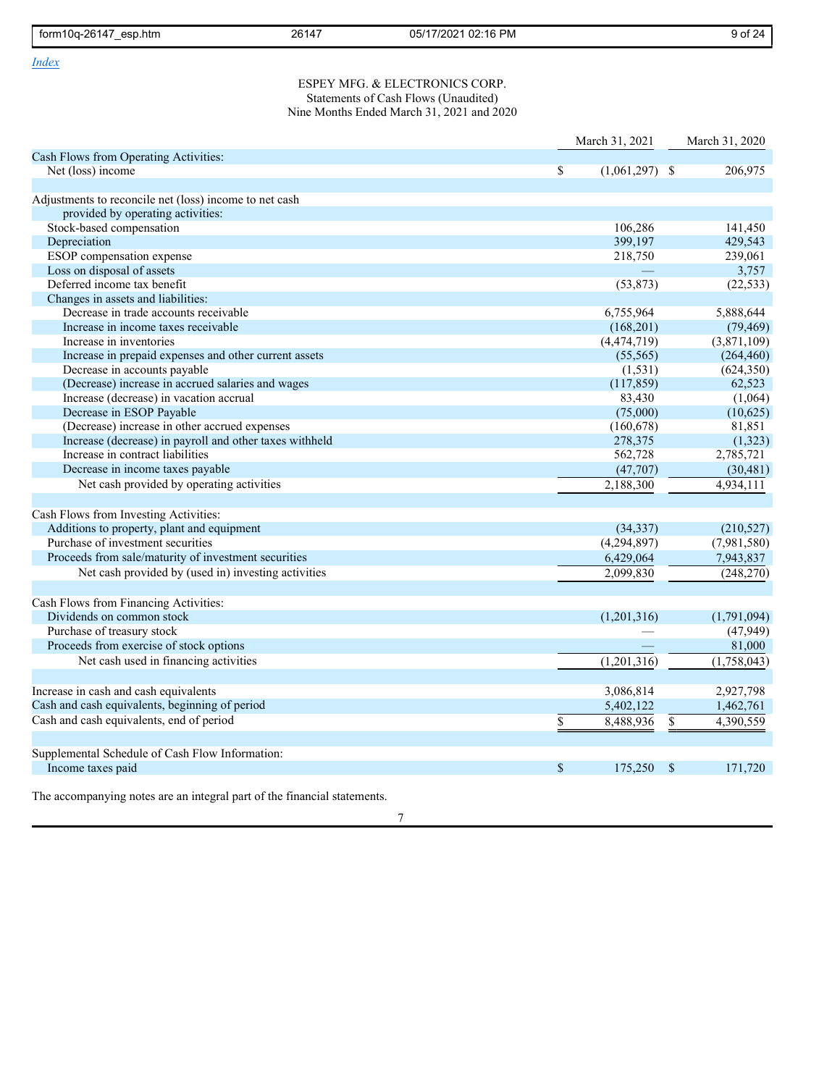|--|

## ESPEY MFG. & ELECTRONICS CORP.

Statements of Cash Flows (Unaudited) Nine Months Ended March 31, 2021 and 2020

|                                                         |                 | March 31, 2021   |                 | March 31, 2020 |
|---------------------------------------------------------|-----------------|------------------|-----------------|----------------|
| Cash Flows from Operating Activities:                   |                 |                  |                 |                |
| Net (loss) income                                       | \$              | $(1,061,297)$ \$ |                 | 206,975        |
|                                                         |                 |                  |                 |                |
| Adjustments to reconcile net (loss) income to net cash  |                 |                  |                 |                |
| provided by operating activities:                       |                 |                  |                 |                |
| Stock-based compensation                                |                 | 106,286          |                 | 141,450        |
| Depreciation                                            |                 | 399,197          |                 | 429,543        |
| ESOP compensation expense                               |                 | 218,750          |                 | 239,061        |
| Loss on disposal of assets                              |                 |                  |                 | 3,757          |
| Deferred income tax benefit                             |                 | (53, 873)        |                 | (22, 533)      |
| Changes in assets and liabilities:                      |                 |                  |                 |                |
| Decrease in trade accounts receivable                   |                 | 6,755,964        |                 | 5,888,644      |
| Increase in income taxes receivable                     |                 | (168,201)        |                 | (79, 469)      |
| Increase in inventories                                 |                 | (4, 474, 719)    |                 | (3,871,109)    |
| Increase in prepaid expenses and other current assets   |                 | (55,565)         |                 | (264, 460)     |
| Decrease in accounts payable                            |                 | (1, 531)         |                 | (624, 350)     |
| (Decrease) increase in accrued salaries and wages       |                 | (117, 859)       |                 | 62,523         |
| Increase (decrease) in vacation accrual                 |                 | 83,430           |                 | (1,064)        |
| Decrease in ESOP Payable                                |                 | (75,000)         |                 | (10,625)       |
| (Decrease) increase in other accrued expenses           |                 | (160, 678)       |                 | 81,851         |
| Increase (decrease) in payroll and other taxes withheld |                 | 278,375          |                 | (1,323)        |
| Increase in contract liabilities                        |                 | 562,728          |                 | 2,785,721      |
| Decrease in income taxes payable                        |                 | (47,707)         |                 | (30, 481)      |
| Net cash provided by operating activities               |                 | 2,188,300        |                 | 4,934,111      |
|                                                         |                 |                  |                 |                |
| Cash Flows from Investing Activities:                   |                 |                  |                 |                |
| Additions to property, plant and equipment              |                 | (34, 337)        |                 | (210, 527)     |
| Purchase of investment securities                       |                 | (4,294,897)      |                 | (7,981,580)    |
| Proceeds from sale/maturity of investment securities    |                 | 6,429,064        |                 | 7,943,837      |
| Net cash provided by (used in) investing activities     |                 | 2,099,830        |                 | (248,270)      |
|                                                         |                 |                  |                 |                |
| Cash Flows from Financing Activities:                   |                 |                  |                 |                |
| Dividends on common stock                               |                 | (1,201,316)      |                 | (1,791,094)    |
| Purchase of treasury stock                              |                 |                  |                 | (47, 949)      |
| Proceeds from exercise of stock options                 |                 |                  |                 | 81,000         |
| Net cash used in financing activities                   |                 | (1,201,316)      |                 | (1,758,043)    |
|                                                         |                 |                  |                 |                |
|                                                         |                 |                  |                 |                |
| Increase in cash and cash equivalents                   |                 | 3,086,814        |                 | 2,927,798      |
| Cash and cash equivalents, beginning of period          |                 | 5,402,122        |                 | 1,462,761      |
| Cash and cash equivalents, end of period                | $\overline{\$}$ | 8,488,936        | $\overline{\$}$ | 4,390,559      |
| Supplemental Schedule of Cash Flow Information:         |                 |                  |                 |                |
| Income taxes paid                                       | $\mathcal{S}$   | 175,250          | <sup>\$</sup>   | 171,720        |
|                                                         |                 |                  |                 |                |

The accompanying notes are an integral part of the financial statements.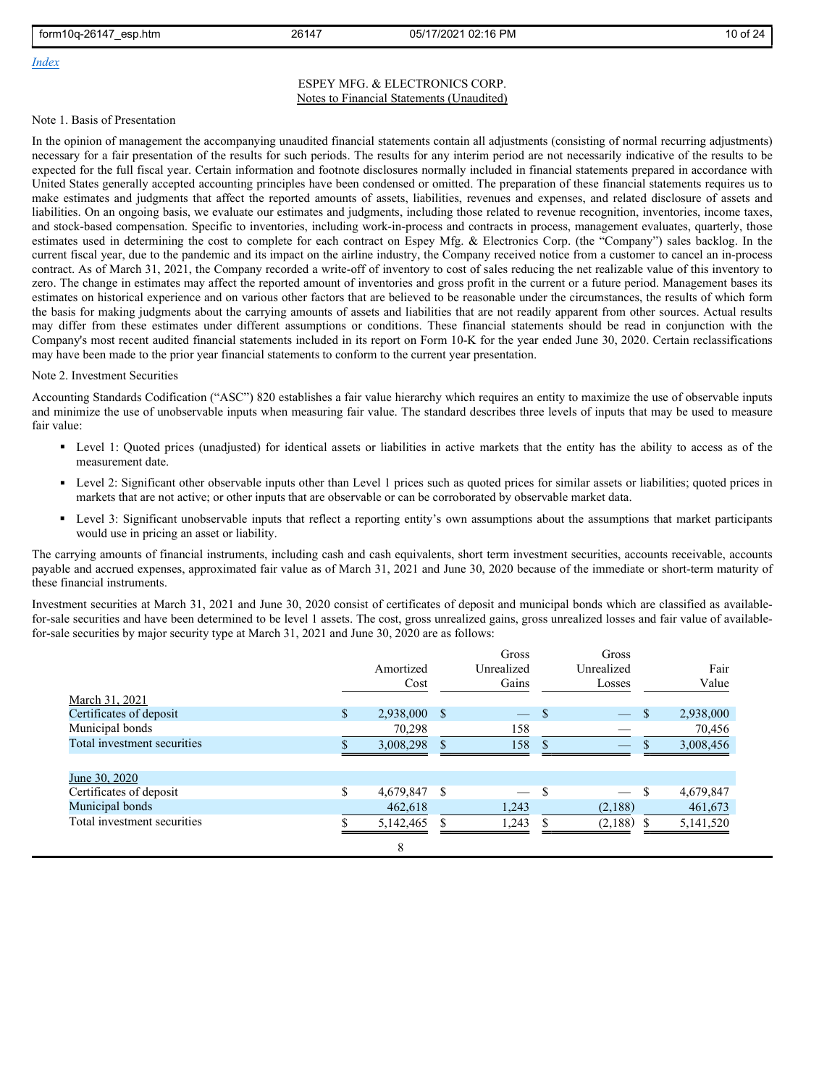#### ESPEY MFG. & ELECTRONICS CORP. Notes to Financial Statements (Unaudited)

#### Note 1. Basis of Presentation

In the opinion of management the accompanying unaudited financial statements contain all adjustments (consisting of normal recurring adjustments) necessary for a fair presentation of the results for such periods. The results for any interim period are not necessarily indicative of the results to be expected for the full fiscal year. Certain information and footnote disclosures normally included in financial statements prepared in accordance with United States generally accepted accounting principles have been condensed or omitted. The preparation of these financial statements requires us to make estimates and judgments that affect the reported amounts of assets, liabilities, revenues and expenses, and related disclosure of assets and liabilities. On an ongoing basis, we evaluate our estimates and judgments, including those related to revenue recognition, inventories, income taxes, and stock-based compensation. Specific to inventories, including work-in-process and contracts in process, management evaluates, quarterly, those estimates used in determining the cost to complete for each contract on Espey Mfg. & Electronics Corp. (the "Company") sales backlog. In the current fiscal year, due to the pandemic and its impact on the airline industry, the Company received notice from a customer to cancel an in-process contract. As of March 31, 2021, the Company recorded a write-off of inventory to cost of sales reducing the net realizable value of this inventory to zero. The change in estimates may affect the reported amount of inventories and gross profit in the current or a future period. Management bases its estimates on historical experience and on various other factors that are believed to be reasonable under the circumstances, the results of which form the basis for making judgments about the carrying amounts of assets and liabilities that are not readily apparent from other sources. Actual results may differ from these estimates under different assumptions or conditions. These financial statements should be read in conjunction with the Company's most recent audited financial statements included in its report on Form 10-K for the year ended June 30, 2020. Certain reclassifications may have been made to the prior year financial statements to conform to the current year presentation.

#### Note 2. Investment Securities

Accounting Standards Codification ("ASC") 820 establishes a fair value hierarchy which requires an entity to maximize the use of observable inputs and minimize the use of unobservable inputs when measuring fair value. The standard describes three levels of inputs that may be used to measure fair value:

- Level 1: Quoted prices (unadjusted) for identical assets or liabilities in active markets that the entity has the ability to access as of the measurement date.
- Level 2: Significant other observable inputs other than Level 1 prices such as quoted prices for similar assets or liabilities; quoted prices in markets that are not active; or other inputs that are observable or can be corroborated by observable market data.
- Level 3: Significant unobservable inputs that reflect a reporting entity's own assumptions about the assumptions that market participants would use in pricing an asset or liability.

The carrying amounts of financial instruments, including cash and cash equivalents, short term investment securities, accounts receivable, accounts payable and accrued expenses, approximated fair value as of March 31, 2021 and June 30, 2020 because of the immediate or short-term maturity of these financial instruments.

Investment securities at March 31, 2021 and June 30, 2020 consist of certificates of deposit and municipal bonds which are classified as availablefor-sale securities and have been determined to be level 1 assets. The cost, gross unrealized gains, gross unrealized losses and fair value of availablefor-sale securities by major security type at March 31, 2021 and June 30, 2020 are as follows:

|                             | Amortized          | Gross<br>Unrealized |    | Gross<br>Unrealized |    | Fair      |
|-----------------------------|--------------------|---------------------|----|---------------------|----|-----------|
|                             |                    |                     |    |                     |    |           |
|                             | Cost               | Gains               |    | Losses              |    | Value     |
| March 31, 2021              |                    |                     |    |                     |    |           |
| Certificates of deposit     | \$<br>2,938,000 \$ | $\frac{1}{2}$       | S  |                     | \$ | 2,938,000 |
| Municipal bonds             | 70,298             | 158                 |    |                     |    | 70,456    |
| Total investment securities | 3,008,298          | 158                 | S  |                     |    | 3,008,456 |
|                             |                    |                     |    |                     |    |           |
| June 30, 2020               |                    |                     |    |                     |    |           |
| Certificates of deposit     | \$<br>4,679,847 \$ |                     | \$ |                     | S  | 4,679,847 |
| Municipal bonds             | 462,618            | 1,243               |    | (2,188)             |    | 461,673   |
| Total investment securities | 5,142,465          | 1,243               |    | (2,188)             |    | 5,141,520 |
|                             | 8                  |                     |    |                     |    |           |
|                             |                    |                     |    |                     |    |           |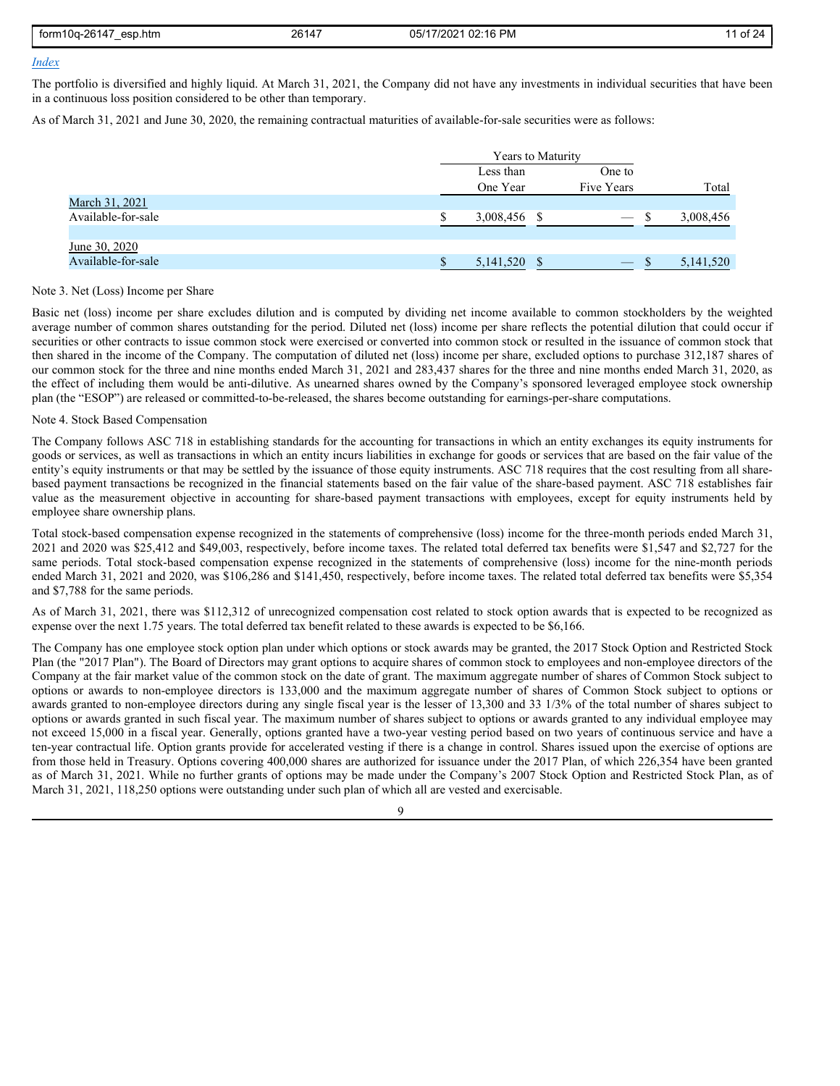| $\ldots$ 0a-2611<br>esp.htm<br>een<br>torm.<br>_ | 0.0117<br>:14<br><u>่ ~</u> | ነ PM<br>00.16<br>7/202<br>05/<br>- 24<br>UZ.<br>. | ~<br>ັັ |
|--------------------------------------------------|-----------------------------|---------------------------------------------------|---------|
|--------------------------------------------------|-----------------------------|---------------------------------------------------|---------|

The portfolio is diversified and highly liquid. At March 31, 2021, the Company did not have any investments in individual securities that have been in a continuous loss position considered to be other than temporary.

As of March 31, 2021 and June 30, 2020, the remaining contractual maturities of available-for-sale securities were as follows:

|                      | Years to Maturity |           |  |            |           |
|----------------------|-------------------|-----------|--|------------|-----------|
|                      |                   | Less than |  | One to     |           |
|                      |                   | One Year  |  | Five Years | Total     |
| March 31, 2021       |                   |           |  |            |           |
| Available-for-sale   |                   | 3,008,456 |  |            | 3,008,456 |
|                      |                   |           |  |            |           |
| <u>June 30, 2020</u> |                   |           |  |            |           |
| Available-for-sale   |                   | 5,141,520 |  | $-$        | 5,141,520 |

#### Note 3. Net (Loss) Income per Share

Basic net (loss) income per share excludes dilution and is computed by dividing net income available to common stockholders by the weighted average number of common shares outstanding for the period. Diluted net (loss) income per share reflects the potential dilution that could occur if securities or other contracts to issue common stock were exercised or converted into common stock or resulted in the issuance of common stock that then shared in the income of the Company. The computation of diluted net (loss) income per share, excluded options to purchase 312,187 shares of our common stock for the three and nine months ended March 31, 2021 and 283,437 shares for the three and nine months ended March 31, 2020, as the effect of including them would be anti-dilutive. As unearned shares owned by the Company's sponsored leveraged employee stock ownership plan (the "ESOP") are released or committed-to-be-released, the shares become outstanding for earnings-per-share computations.

#### Note 4. Stock Based Compensation

The Company follows ASC 718 in establishing standards for the accounting for transactions in which an entity exchanges its equity instruments for goods or services, as well as transactions in which an entity incurs liabilities in exchange for goods or services that are based on the fair value of the entity's equity instruments or that may be settled by the issuance of those equity instruments. ASC 718 requires that the cost resulting from all sharebased payment transactions be recognized in the financial statements based on the fair value of the share-based payment. ASC 718 establishes fair value as the measurement objective in accounting for share-based payment transactions with employees, except for equity instruments held by employee share ownership plans.

Total stock-based compensation expense recognized in the statements of comprehensive (loss) income for the three-month periods ended March 31, 2021 and 2020 was \$25,412 and \$49,003, respectively, before income taxes. The related total deferred tax benefits were \$1,547 and \$2,727 for the same periods. Total stock-based compensation expense recognized in the statements of comprehensive (loss) income for the nine-month periods ended March 31, 2021 and 2020, was \$106,286 and \$141,450, respectively, before income taxes. The related total deferred tax benefits were \$5,354 and \$7,788 for the same periods.

As of March 31, 2021, there was \$112,312 of unrecognized compensation cost related to stock option awards that is expected to be recognized as expense over the next 1.75 years. The total deferred tax benefit related to these awards is expected to be \$6,166.

The Company has one employee stock option plan under which options or stock awards may be granted, the 2017 Stock Option and Restricted Stock Plan (the "2017 Plan"). The Board of Directors may grant options to acquire shares of common stock to employees and non-employee directors of the Company at the fair market value of the common stock on the date of grant. The maximum aggregate number of shares of Common Stock subject to options or awards to non-employee directors is 133,000 and the maximum aggregate number of shares of Common Stock subject to options or awards granted to non-employee directors during any single fiscal year is the lesser of 13,300 and 33 1/3% of the total number of shares subject to options or awards granted in such fiscal year. The maximum number of shares subject to options or awards granted to any individual employee may not exceed 15,000 in a fiscal year. Generally, options granted have a two-year vesting period based on two years of continuous service and have a ten-year contractual life. Option grants provide for accelerated vesting if there is a change in control. Shares issued upon the exercise of options are from those held in Treasury. Options covering 400,000 shares are authorized for issuance under the 2017 Plan, of which 226,354 have been granted as of March 31, 2021. While no further grants of options may be made under the Company's 2007 Stock Option and Restricted Stock Plan, as of March 31, 2021, 118,250 options were outstanding under such plan of which all are vested and exercisable.

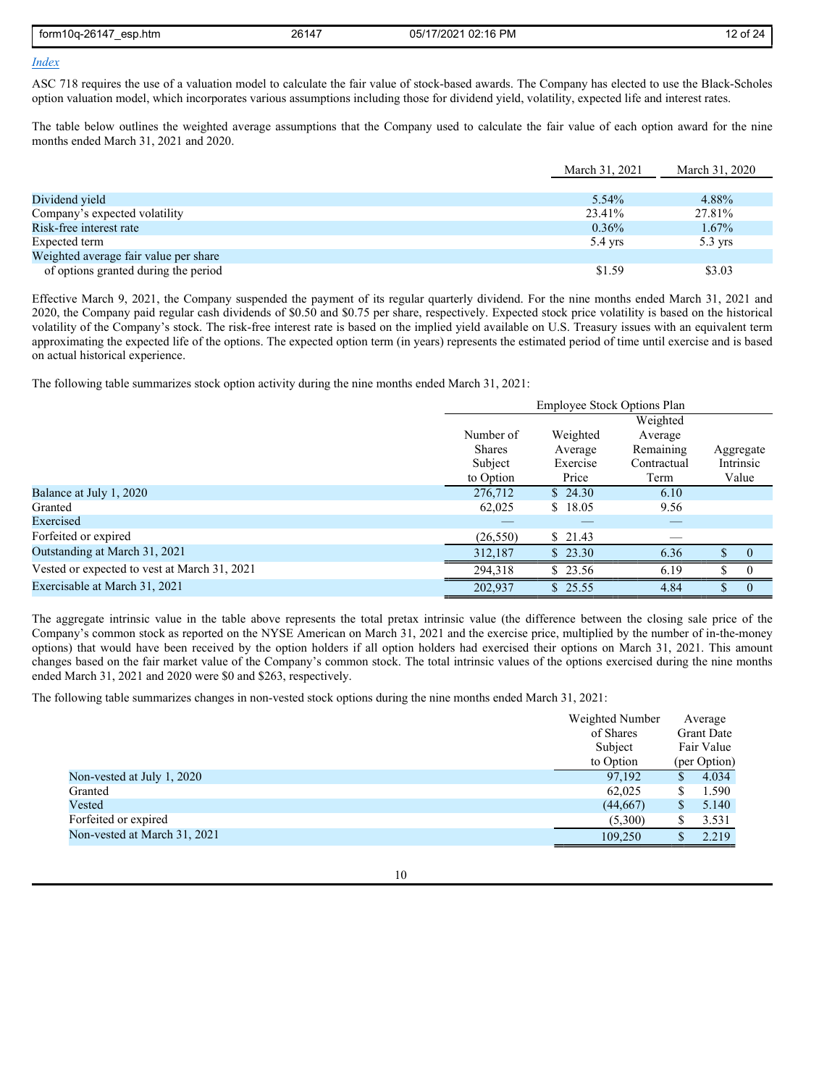| $2614^{-}$<br>form10g-26147<br>esp.htm<br>ecr<br>- | 02:16 PM<br>7/2021<br>9511<br>ີ | $\sim$<br>of 2 |
|----------------------------------------------------|---------------------------------|----------------|
|----------------------------------------------------|---------------------------------|----------------|

ASC 718 requires the use of a valuation model to calculate the fair value of stock-based awards. The Company has elected to use the Black-Scholes option valuation model, which incorporates various assumptions including those for dividend yield, volatility, expected life and interest rates.

The table below outlines the weighted average assumptions that the Company used to calculate the fair value of each option award for the nine months ended March 31, 2021 and 2020.

|                                       | March 31, 2021 | March 31, 2020    |
|---------------------------------------|----------------|-------------------|
|                                       |                |                   |
| Dividend yield                        | $5.54\%$       | 4.88%             |
| Company's expected volatility         | 23.41%         | 27.81%            |
| Risk-free interest rate               | $0.36\%$       | $1.67\%$          |
| Expected term                         | $5.4$ yrs      | $5.3 \text{ yrs}$ |
| Weighted average fair value per share |                |                   |
| of options granted during the period  | \$1.59         | \$3.03            |

Effective March 9, 2021, the Company suspended the payment of its regular quarterly dividend. For the nine months ended March 31, 2021 and 2020, the Company paid regular cash dividends of \$0.50 and \$0.75 per share, respectively. Expected stock price volatility is based on the historical volatility of the Company's stock. The risk-free interest rate is based on the implied yield available on U.S. Treasury issues with an equivalent term approximating the expected life of the options. The expected option term (in years) represents the estimated period of time until exercise and is based on actual historical experience.

The following table summarizes stock option activity during the nine months ended March 31, 2021:

|                                              | <b>Employee Stock Options Plan</b> |          |             |                |
|----------------------------------------------|------------------------------------|----------|-------------|----------------|
|                                              |                                    |          | Weighted    |                |
|                                              | Number of                          | Weighted | Average     |                |
|                                              | <b>Shares</b>                      | Average  | Remaining   | Aggregate      |
|                                              | Subject                            | Exercise | Contractual | Intrinsic      |
|                                              | to Option                          | Price    | Term        | Value          |
| Balance at July 1, 2020                      | 276,712                            | \$24.30  | 6.10        |                |
| Granted                                      | 62,025                             | \$18.05  | 9.56        |                |
| Exercised                                    |                                    |          |             |                |
| Forfeited or expired                         | (26, 550)                          | \$21.43  |             |                |
| Outstanding at March 31, 2021                | 312,187                            | \$23.30  | 6.36        |                |
| Vested or expected to vest at March 31, 2021 | 294,318                            | \$23.56  | 6.19        |                |
| Exercisable at March 31, 2021                | 202,937                            | \$25.55  | 4.84        | \$<br>$\theta$ |

The aggregate intrinsic value in the table above represents the total pretax intrinsic value (the difference between the closing sale price of the Company's common stock as reported on the NYSE American on March 31, 2021 and the exercise price, multiplied by the number of in-the-money options) that would have been received by the option holders if all option holders had exercised their options on March 31, 2021. This amount changes based on the fair market value of the Company's common stock. The total intrinsic values of the options exercised during the nine months ended March 31, 2021 and 2020 were \$0 and \$263, respectively.

The following table summarizes changes in non-vested stock options during the nine months ended March 31, 2021:

|                              | Weighted Number |   | Average           |
|------------------------------|-----------------|---|-------------------|
|                              | of Shares       |   | <b>Grant Date</b> |
|                              | Subject         |   | Fair Value        |
|                              | to Option       |   | (per Option)      |
| Non-vested at July 1, 2020   | 97,192          | S | 4.034             |
| Granted                      | 62,025          |   | 1.590             |
| Vested                       | (44,667)        | S | 5.140             |
| Forfeited or expired         | (5,300)         | Φ | 3.531             |
| Non-vested at March 31, 2021 | 109,250         |   | 2.219             |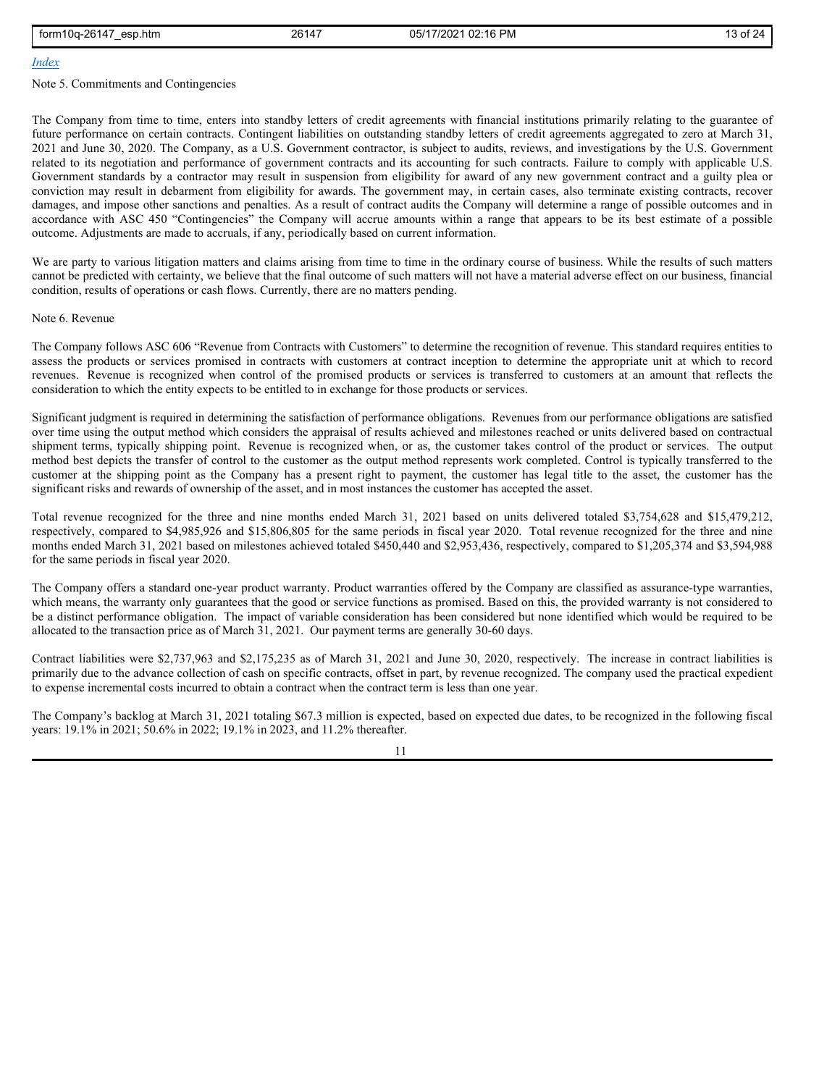#### Note 5. Commitments and Contingencies

The Company from time to time, enters into standby letters of credit agreements with financial institutions primarily relating to the guarantee of future performance on certain contracts. Contingent liabilities on outstanding standby letters of credit agreements aggregated to zero at March 31, 2021 and June 30, 2020. The Company, as a U.S. Government contractor, is subject to audits, reviews, and investigations by the U.S. Government related to its negotiation and performance of government contracts and its accounting for such contracts. Failure to comply with applicable U.S. Government standards by a contractor may result in suspension from eligibility for award of any new government contract and a guilty plea or conviction may result in debarment from eligibility for awards. The government may, in certain cases, also terminate existing contracts, recover damages, and impose other sanctions and penalties. As a result of contract audits the Company will determine a range of possible outcomes and in accordance with ASC 450 "Contingencies" the Company will accrue amounts within a range that appears to be its best estimate of a possible outcome. Adjustments are made to accruals, if any, periodically based on current information.

We are party to various litigation matters and claims arising from time to time in the ordinary course of business. While the results of such matters cannot be predicted with certainty, we believe that the final outcome of such matters will not have a material adverse effect on our business, financial condition, results of operations or cash flows. Currently, there are no matters pending.

#### Note 6. Revenue

The Company follows ASC 606 "Revenue from Contracts with Customers" to determine the recognition of revenue. This standard requires entities to assess the products or services promised in contracts with customers at contract inception to determine the appropriate unit at which to record revenues. Revenue is recognized when control of the promised products or services is transferred to customers at an amount that reflects the consideration to which the entity expects to be entitled to in exchange for those products or services.

Significant judgment is required in determining the satisfaction of performance obligations. Revenues from our performance obligations are satisfied over time using the output method which considers the appraisal of results achieved and milestones reached or units delivered based on contractual shipment terms, typically shipping point. Revenue is recognized when, or as, the customer takes control of the product or services. The output method best depicts the transfer of control to the customer as the output method represents work completed. Control is typically transferred to the customer at the shipping point as the Company has a present right to payment, the customer has legal title to the asset, the customer has the significant risks and rewards of ownership of the asset, and in most instances the customer has accepted the asset.

Total revenue recognized for the three and nine months ended March 31, 2021 based on units delivered totaled \$3,754,628 and \$15,479,212, respectively, compared to \$4,985,926 and \$15,806,805 for the same periods in fiscal year 2020. Total revenue recognized for the three and nine months ended March 31, 2021 based on milestones achieved totaled \$450,440 and \$2,953,436, respectively, compared to \$1,205,374 and \$3,594,988 for the same periods in fiscal year 2020.

The Company offers a standard one-year product warranty. Product warranties offered by the Company are classified as assurance-type warranties, which means, the warranty only guarantees that the good or service functions as promised. Based on this, the provided warranty is not considered to be a distinct performance obligation. The impact of variable consideration has been considered but none identified which would be required to be allocated to the transaction price as of March 31, 2021. Our payment terms are generally 30-60 days.

Contract liabilities were \$2,737,963 and \$2,175,235 as of March 31, 2021 and June 30, 2020, respectively. The increase in contract liabilities is primarily due to the advance collection of cash on specific contracts, offset in part, by revenue recognized. The company used the practical expedient to expense incremental costs incurred to obtain a contract when the contract term is less than one year.

The Company's backlog at March 31, 2021 totaling \$67.3 million is expected, based on expected due dates, to be recognized in the following fiscal years: 19.1% in 2021; 50.6% in 2022; 19.1% in 2023, and 11.2% thereafter.

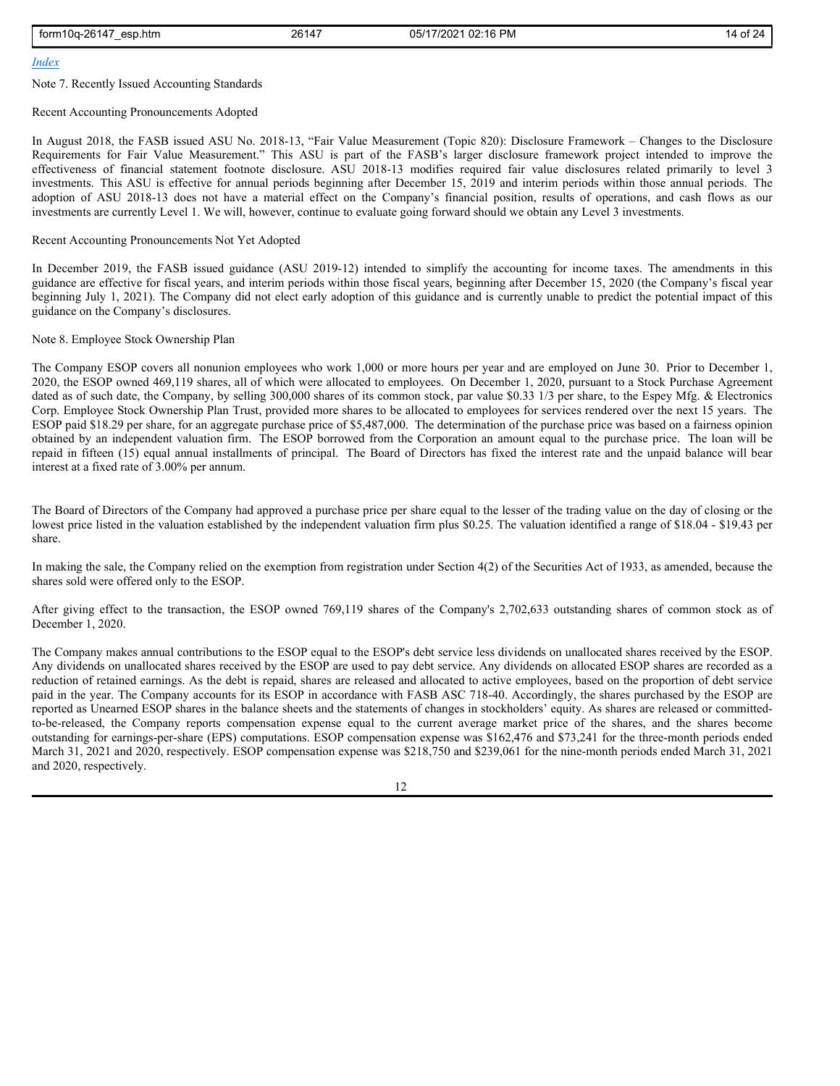Note 7. Recently Issued Accounting Standards

Recent Accounting Pronouncements Adopted

In August 2018, the FASB issued ASU No. 2018-13, "Fair Value Measurement (Topic 820): Disclosure Framework – Changes to the Disclosure Requirements for Fair Value Measurement." This ASU is part of the FASB's larger disclosure framework project intended to improve the effectiveness of financial statement footnote disclosure. ASU 2018-13 modifies required fair value disclosures related primarily to level 3 investments. This ASU is effective for annual periods beginning after December 15, 2019 and interim periods within those annual periods. The adoption of ASU 2018-13 does not have a material effect on the Company's financial position, results of operations, and cash flows as our investments are currently Level 1. We will, however, continue to evaluate going forward should we obtain any Level 3 investments.

#### Recent Accounting Pronouncements Not Yet Adopted

In December 2019, the FASB issued guidance (ASU 2019-12) intended to simplify the accounting for income taxes. The amendments in this guidance are effective for fiscal years, and interim periods within those fiscal years, beginning after December 15, 2020 (the Company's fiscal year beginning July 1, 2021). The Company did not elect early adoption of this guidance and is currently unable to predict the potential impact of this guidance on the Company's disclosures.

#### Note 8. Employee Stock Ownership Plan

The Company ESOP covers all nonunion employees who work 1,000 or more hours per year and are employed on June 30. Prior to December 1, 2020, the ESOP owned 469,119 shares, all of which were allocated to employees. On December 1, 2020, pursuant to a Stock Purchase Agreement dated as of such date, the Company, by selling 300,000 shares of its common stock, par value \$0.33 1/3 per share, to the Espey Mfg. & Electronics Corp. Employee Stock Ownership Plan Trust, provided more shares to be allocated to employees for services rendered over the next 15 years. The ESOP paid \$18.29 per share, for an aggregate purchase price of \$5,487,000. The determination of the purchase price was based on a fairness opinion obtained by an independent valuation firm. The ESOP borrowed from the Corporation an amount equal to the purchase price. The loan will be repaid in fifteen (15) equal annual installments of principal. The Board of Directors has fixed the interest rate and the unpaid balance will bear interest at a fixed rate of 3.00% per annum.

The Board of Directors of the Company had approved a purchase price per share equal to the lesser of the trading value on the day of closing or the lowest price listed in the valuation established by the independent valuation firm plus \$0.25. The valuation identified a range of \$18.04 - \$19.43 per share.

In making the sale, the Company relied on the exemption from registration under Section 4(2) of the Securities Act of 1933, as amended, because the shares sold were offered only to the ESOP.

After giving effect to the transaction, the ESOP owned 769,119 shares of the Company's 2,702,633 outstanding shares of common stock as of December 1, 2020.

The Company makes annual contributions to the ESOP equal to the ESOP's debt service less dividends on unallocated shares received by the ESOP. Any dividends on unallocated shares received by the ESOP are used to pay debt service. Any dividends on allocated ESOP shares are recorded as a reduction of retained earnings. As the debt is repaid, shares are released and allocated to active employees, based on the proportion of debt service paid in the year. The Company accounts for its ESOP in accordance with FASB ASC 718-40. Accordingly, the shares purchased by the ESOP are reported as Unearned ESOP shares in the balance sheets and the statements of changes in stockholders' equity. As shares are released or committedto-be-released, the Company reports compensation expense equal to the current average market price of the shares, and the shares become outstanding for earnings-per-share (EPS) computations. ESOP compensation expense was \$162,476 and \$73,241 for the three-month periods ended March 31, 2021 and 2020, respectively. ESOP compensation expense was \$218,750 and \$239,061 for the nine-month periods ended March 31, 2021 and 2020, respectively.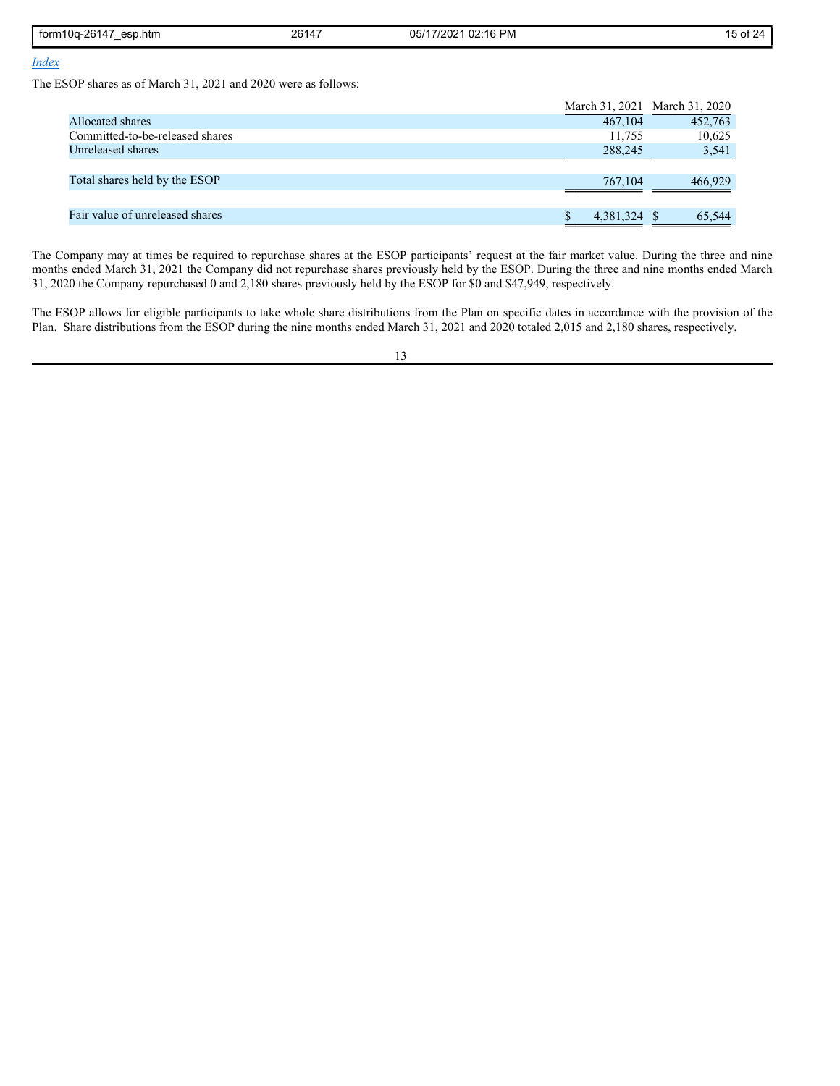| $\sim$<br>614.<br>esp.htm<br>torm.<br>،10a<br>$\sqrt{r}$<br>$\overline{\phantom{0}}$ | 26147 | PM<br>/2021<br>$\sim$<br>$\ddot{\phantom{0}}$<br>') · 1 に<br>95.<br><br>UZ.<br>ິ<br>. | $\sim$<br>2Δ.<br>of 24 |
|--------------------------------------------------------------------------------------|-------|---------------------------------------------------------------------------------------|------------------------|
|--------------------------------------------------------------------------------------|-------|---------------------------------------------------------------------------------------|------------------------|

The ESOP shares as of March 31, 2021 and 2020 were as follows:

|                                 | March 31, 2021 March 31, 2020 |         |
|---------------------------------|-------------------------------|---------|
| Allocated shares                | 467,104                       | 452,763 |
| Committed-to-be-released shares | 11.755                        | 10,625  |
| Unreleased shares               | 288,245                       | 3,541   |
|                                 |                               |         |
| Total shares held by the ESOP   | 767,104                       | 466,929 |
|                                 |                               |         |
| Fair value of unreleased shares | 4,381,324 \$                  | 65,544  |

The Company may at times be required to repurchase shares at the ESOP participants' request at the fair market value. During the three and nine months ended March 31, 2021 the Company did not repurchase shares previously held by the ESOP. During the three and nine months ended March 31, 2020 the Company repurchased 0 and 2,180 shares previously held by the ESOP for \$0 and \$47,949, respectively.

The ESOP allows for eligible participants to take whole share distributions from the Plan on specific dates in accordance with the provision of the Plan. Share distributions from the ESOP during the nine months ended March 31, 2021 and 2020 totaled 2,015 and 2,180 shares, respectively.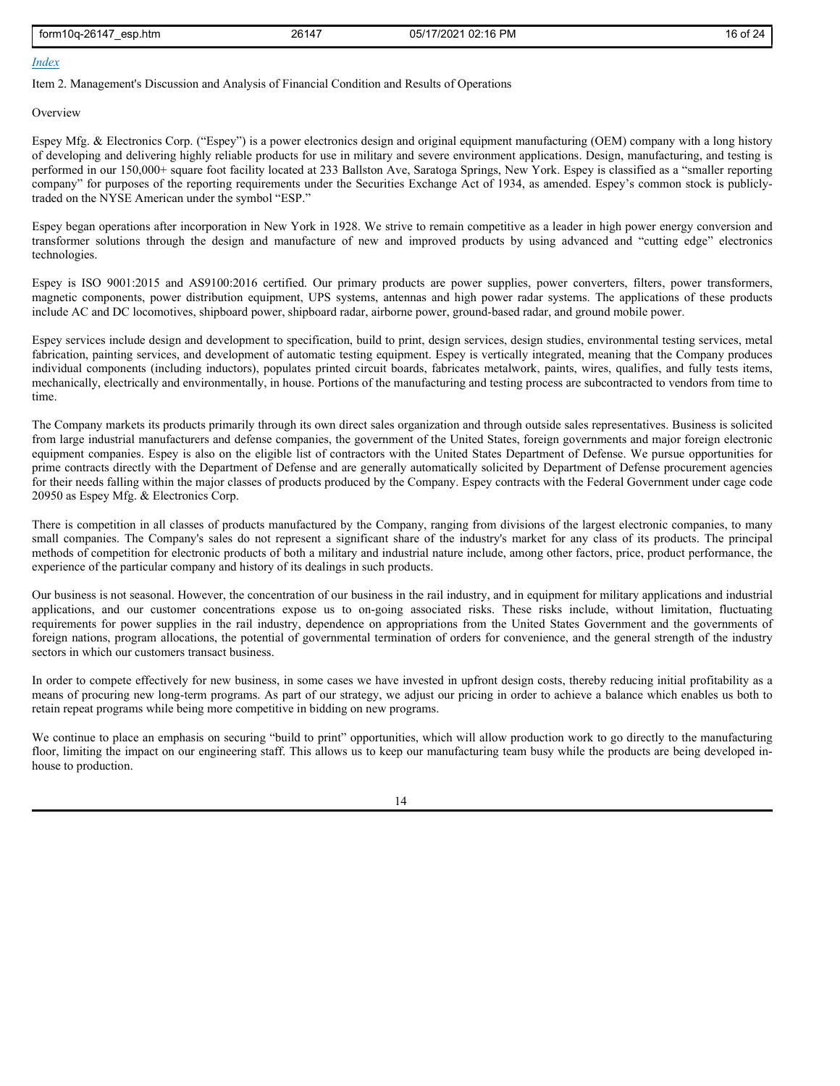| form10a-2614 $7$<br>esp.htm<br>- | 26147<br>∼<br>. | $02:16$ PM<br>5/17/2021<br>∩ҕ7<br>ີບປະ | . .<br>16<br>J 0 f ⊆<br>- 24 |
|----------------------------------|-----------------|----------------------------------------|------------------------------|
|----------------------------------|-----------------|----------------------------------------|------------------------------|

Item 2. Management's Discussion and Analysis of Financial Condition and Results of Operations

## **Overview**

Espey Mfg. & Electronics Corp. ("Espey") is a power electronics design and original equipment manufacturing (OEM) company with a long history of developing and delivering highly reliable products for use in military and severe environment applications. Design, manufacturing, and testing is performed in our 150,000+ square foot facility located at 233 Ballston Ave, Saratoga Springs, New York. Espey is classified as a "smaller reporting company" for purposes of the reporting requirements under the Securities Exchange Act of 1934, as amended. Espey's common stock is publiclytraded on the NYSE American under the symbol "ESP."

Espey began operations after incorporation in New York in 1928. We strive to remain competitive as a leader in high power energy conversion and transformer solutions through the design and manufacture of new and improved products by using advanced and "cutting edge" electronics technologies.

Espey is ISO 9001:2015 and AS9100:2016 certified. Our primary products are power supplies, power converters, filters, power transformers, magnetic components, power distribution equipment, UPS systems, antennas and high power radar systems. The applications of these products include AC and DC locomotives, shipboard power, shipboard radar, airborne power, ground-based radar, and ground mobile power.

Espey services include design and development to specification, build to print, design services, design studies, environmental testing services, metal fabrication, painting services, and development of automatic testing equipment. Espey is vertically integrated, meaning that the Company produces individual components (including inductors), populates printed circuit boards, fabricates metalwork, paints, wires, qualifies, and fully tests items, mechanically, electrically and environmentally, in house. Portions of the manufacturing and testing process are subcontracted to vendors from time to time.

The Company markets its products primarily through its own direct sales organization and through outside sales representatives. Business is solicited from large industrial manufacturers and defense companies, the government of the United States, foreign governments and major foreign electronic equipment companies. Espey is also on the eligible list of contractors with the United States Department of Defense. We pursue opportunities for prime contracts directly with the Department of Defense and are generally automatically solicited by Department of Defense procurement agencies for their needs falling within the major classes of products produced by the Company. Espey contracts with the Federal Government under cage code 20950 as Espey Mfg. & Electronics Corp.

There is competition in all classes of products manufactured by the Company, ranging from divisions of the largest electronic companies, to many small companies. The Company's sales do not represent a significant share of the industry's market for any class of its products. The principal methods of competition for electronic products of both a military and industrial nature include, among other factors, price, product performance, the experience of the particular company and history of its dealings in such products.

Our business is not seasonal. However, the concentration of our business in the rail industry, and in equipment for military applications and industrial applications, and our customer concentrations expose us to on-going associated risks. These risks include, without limitation, fluctuating requirements for power supplies in the rail industry, dependence on appropriations from the United States Government and the governments of foreign nations, program allocations, the potential of governmental termination of orders for convenience, and the general strength of the industry sectors in which our customers transact business.

In order to compete effectively for new business, in some cases we have invested in upfront design costs, thereby reducing initial profitability as a means of procuring new long-term programs. As part of our strategy, we adjust our pricing in order to achieve a balance which enables us both to retain repeat programs while being more competitive in bidding on new programs.

We continue to place an emphasis on securing "build to print" opportunities, which will allow production work to go directly to the manufacturing floor, limiting the impact on our engineering staff. This allows us to keep our manufacturing team busy while the products are being developed inhouse to production.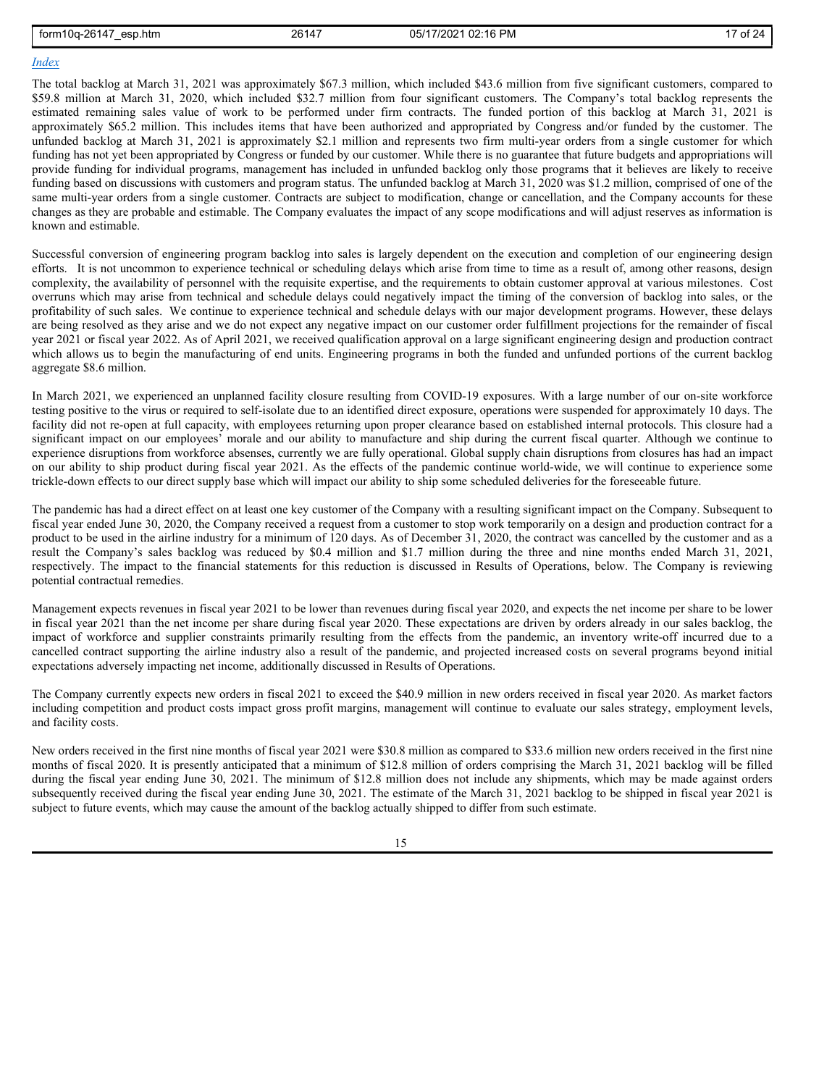| 110a-26147<br>esp.htm<br>torm | 26147 | 02:16 PM<br>17/2021<br>05/ <sup>.</sup> | .<br>۰,Δ<br>ΩŤ |
|-------------------------------|-------|-----------------------------------------|----------------|
|-------------------------------|-------|-----------------------------------------|----------------|

The total backlog at March 31, 2021 was approximately \$67.3 million, which included \$43.6 million from five significant customers, compared to \$59.8 million at March 31, 2020, which included \$32.7 million from four significant customers. The Company's total backlog represents the estimated remaining sales value of work to be performed under firm contracts. The funded portion of this backlog at March 31, 2021 is approximately \$65.2 million. This includes items that have been authorized and appropriated by Congress and/or funded by the customer. The unfunded backlog at March 31, 2021 is approximately \$2.1 million and represents two firm multi-year orders from a single customer for which funding has not yet been appropriated by Congress or funded by our customer. While there is no guarantee that future budgets and appropriations will provide funding for individual programs, management has included in unfunded backlog only those programs that it believes are likely to receive funding based on discussions with customers and program status. The unfunded backlog at March 31, 2020 was \$1.2 million, comprised of one of the same multi-year orders from a single customer. Contracts are subject to modification, change or cancellation, and the Company accounts for these changes as they are probable and estimable. The Company evaluates the impact of any scope modifications and will adjust reserves as information is known and estimable.

Successful conversion of engineering program backlog into sales is largely dependent on the execution and completion of our engineering design efforts. It is not uncommon to experience technical or scheduling delays which arise from time to time as a result of, among other reasons, design complexity, the availability of personnel with the requisite expertise, and the requirements to obtain customer approval at various milestones. Cost overruns which may arise from technical and schedule delays could negatively impact the timing of the conversion of backlog into sales, or the profitability of such sales. We continue to experience technical and schedule delays with our major development programs. However, these delays are being resolved as they arise and we do not expect any negative impact on our customer order fulfillment projections for the remainder of fiscal year 2021 or fiscal year 2022. As of April 2021, we received qualification approval on a large significant engineering design and production contract which allows us to begin the manufacturing of end units. Engineering programs in both the funded and unfunded portions of the current backlog aggregate \$8.6 million.

In March 2021, we experienced an unplanned facility closure resulting from COVID-19 exposures. With a large number of our on-site workforce testing positive to the virus or required to self-isolate due to an identified direct exposure, operations were suspended for approximately 10 days. The facility did not re-open at full capacity, with employees returning upon proper clearance based on established internal protocols. This closure had a significant impact on our employees' morale and our ability to manufacture and ship during the current fiscal quarter. Although we continue to experience disruptions from workforce absenses, currently we are fully operational. Global supply chain disruptions from closures has had an impact on our ability to ship product during fiscal year 2021. As the effects of the pandemic continue world-wide, we will continue to experience some trickle-down effects to our direct supply base which will impact our ability to ship some scheduled deliveries for the foreseeable future.

The pandemic has had a direct effect on at least one key customer of the Company with a resulting significant impact on the Company. Subsequent to fiscal year ended June 30, 2020, the Company received a request from a customer to stop work temporarily on a design and production contract for a product to be used in the airline industry for a minimum of 120 days. As of December 31, 2020, the contract was cancelled by the customer and as a result the Company's sales backlog was reduced by \$0.4 million and \$1.7 million during the three and nine months ended March 31, 2021, respectively. The impact to the financial statements for this reduction is discussed in Results of Operations, below. The Company is reviewing potential contractual remedies.

Management expects revenues in fiscal year 2021 to be lower than revenues during fiscal year 2020, and expects the net income per share to be lower in fiscal year 2021 than the net income per share during fiscal year 2020. These expectations are driven by orders already in our sales backlog, the impact of workforce and supplier constraints primarily resulting from the effects from the pandemic, an inventory write-off incurred due to a cancelled contract supporting the airline industry also a result of the pandemic, and projected increased costs on several programs beyond initial expectations adversely impacting net income, additionally discussed in Results of Operations.

The Company currently expects new orders in fiscal 2021 to exceed the \$40.9 million in new orders received in fiscal year 2020. As market factors including competition and product costs impact gross profit margins, management will continue to evaluate our sales strategy, employment levels, and facility costs.

New orders received in the first nine months of fiscal year 2021 were \$30.8 million as compared to \$33.6 million new orders received in the first nine months of fiscal 2020. It is presently anticipated that a minimum of \$12.8 million of orders comprising the March 31, 2021 backlog will be filled during the fiscal year ending June 30, 2021. The minimum of \$12.8 million does not include any shipments, which may be made against orders subsequently received during the fiscal year ending June 30, 2021. The estimate of the March 31, 2021 backlog to be shipped in fiscal year 2021 is subject to future events, which may cause the amount of the backlog actually shipped to differ from such estimate.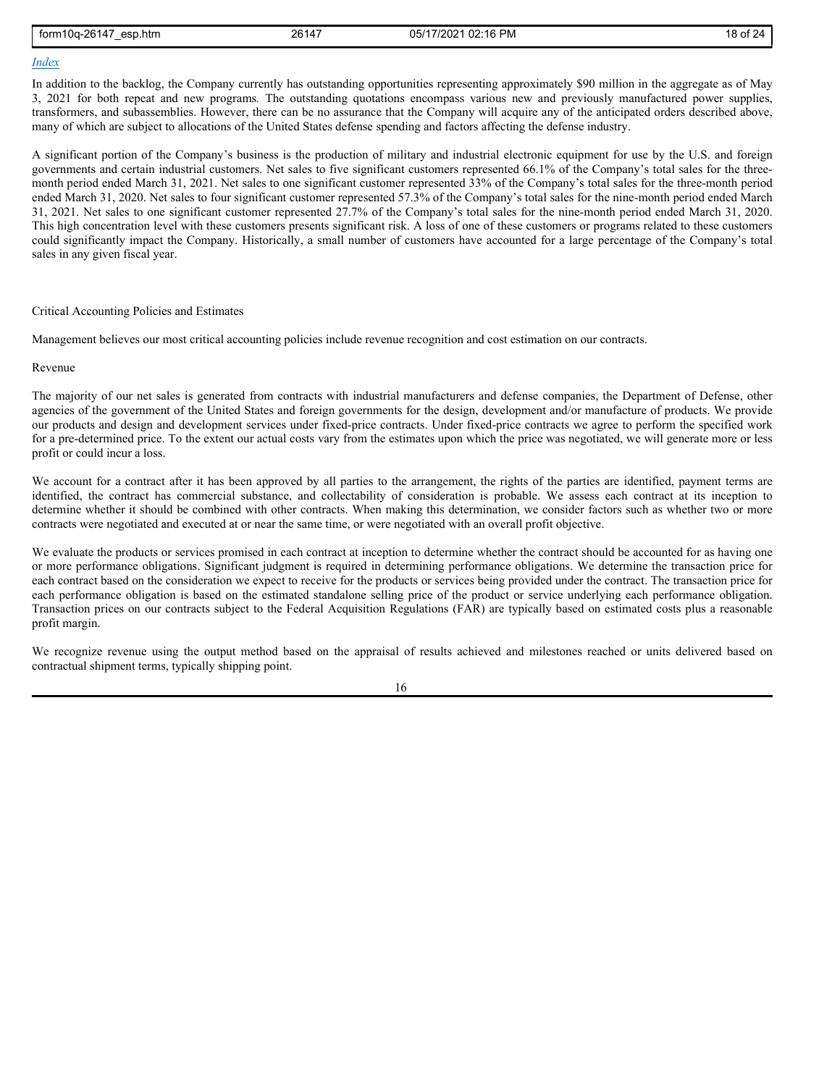| -2614 <sup>-</sup><br>torm<br>esp.htm<br>10a-26 | $-1$<br>co.<br>٬14<br>╭<br>∼ | 16 PM<br>$\sim$<br>∩^<br>05/<br>' <i>' A</i><br>.<br>. .<br>uz<br>ZUZ<br>. | $\overline{\phantom{a}}$<br>. .<br>ור<br>. .<br>. . |
|-------------------------------------------------|------------------------------|----------------------------------------------------------------------------|-----------------------------------------------------|
|                                                 |                              |                                                                            |                                                     |

In addition to the backlog, the Company currently has outstanding opportunities representing approximately \$90 million in the aggregate as of May 3, 2021 for both repeat and new programs*.* The outstanding quotations encompass various new and previously manufactured power supplies, transformers, and subassemblies. However, there can be no assurance that the Company will acquire any of the anticipated orders described above, many of which are subject to allocations of the United States defense spending and factors affecting the defense industry.

A significant portion of the Company's business is the production of military and industrial electronic equipment for use by the U.S. and foreign governments and certain industrial customers. Net sales to five significant customers represented 66.1% of the Company's total sales for the threemonth period ended March 31, 2021. Net sales to one significant customer represented 33% of the Company's total sales for the three-month period ended March 31, 2020. Net sales to four significant customer represented 57.3% of the Company's total sales for the nine-month period ended March 31, 2021. Net sales to one significant customer represented 27.7% of the Company's total sales for the nine-month period ended March 31, 2020. This high concentration level with these customers presents significant risk. A loss of one of these customers or programs related to these customers could significantly impact the Company. Historically, a small number of customers have accounted for a large percentage of the Company's total sales in any given fiscal year.

#### Critical Accounting Policies and Estimates

Management believes our most critical accounting policies include revenue recognition and cost estimation on our contracts.

#### Revenue

The majority of our net sales is generated from contracts with industrial manufacturers and defense companies, the Department of Defense, other agencies of the government of the United States and foreign governments for the design, development and/or manufacture of products. We provide our products and design and development services under fixed-price contracts. Under fixed-price contracts we agree to perform the specified work for a pre-determined price. To the extent our actual costs vary from the estimates upon which the price was negotiated, we will generate more or less profit or could incur a loss.

We account for a contract after it has been approved by all parties to the arrangement, the rights of the parties are identified, payment terms are identified, the contract has commercial substance, and collectability of consideration is probable. We assess each contract at its inception to determine whether it should be combined with other contracts. When making this determination, we consider factors such as whether two or more contracts were negotiated and executed at or near the same time, or were negotiated with an overall profit objective.

We evaluate the products or services promised in each contract at inception to determine whether the contract should be accounted for as having one or more performance obligations. Significant judgment is required in determining performance obligations. We determine the transaction price for each contract based on the consideration we expect to receive for the products or services being provided under the contract. The transaction price for each performance obligation is based on the estimated standalone selling price of the product or service underlying each performance obligation. Transaction prices on our contracts subject to the Federal Acquisition Regulations (FAR) are typically based on estimated costs plus a reasonable profit margin.

We recognize revenue using the output method based on the appraisal of results achieved and milestones reached or units delivered based on contractual shipment terms, typically shipping point.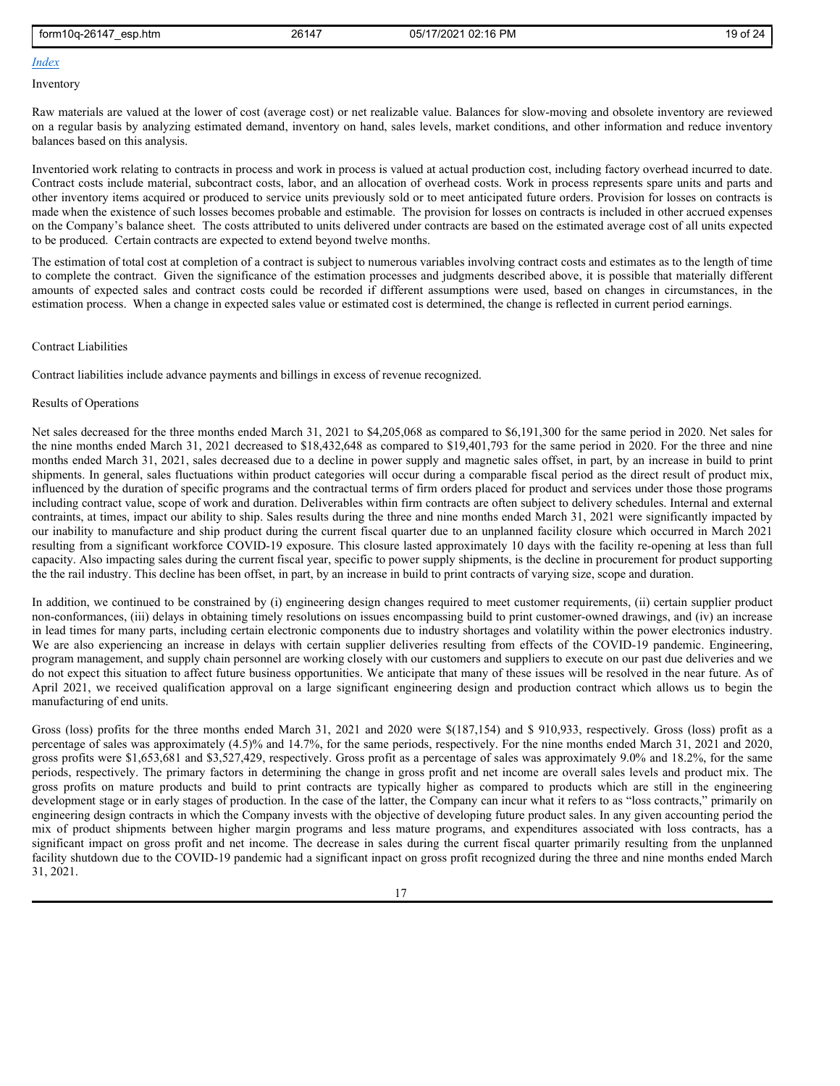## form10q-26147\_esp.htm 26147 05/17/2021 02:16 PM 19 of 24

## *Index*

Inventory

Raw materials are valued at the lower of cost (average cost) or net realizable value. Balances for slow-moving and obsolete inventory are reviewed on a regular basis by analyzing estimated demand, inventory on hand, sales levels, market conditions, and other information and reduce inventory balances based on this analysis.

Inventoried work relating to contracts in process and work in process is valued at actual production cost, including factory overhead incurred to date. Contract costs include material, subcontract costs, labor, and an allocation of overhead costs. Work in process represents spare units and parts and other inventory items acquired or produced to service units previously sold or to meet anticipated future orders. Provision for losses on contracts is made when the existence of such losses becomes probable and estimable. The provision for losses on contracts is included in other accrued expenses on the Company's balance sheet. The costs attributed to units delivered under contracts are based on the estimated average cost of all units expected to be produced. Certain contracts are expected to extend beyond twelve months.

The estimation of total cost at completion of a contract is subject to numerous variables involving contract costs and estimates as to the length of time to complete the contract. Given the significance of the estimation processes and judgments described above, it is possible that materially different amounts of expected sales and contract costs could be recorded if different assumptions were used, based on changes in circumstances, in the estimation process. When a change in expected sales value or estimated cost is determined, the change is reflected in current period earnings.

#### Contract Liabilities

Contract liabilities include advance payments and billings in excess of revenue recognized.

#### Results of Operations

Net sales decreased for the three months ended March 31, 2021 to \$4,205,068 as compared to \$6,191,300 for the same period in 2020. Net sales for the nine months ended March 31, 2021 decreased to \$18,432,648 as compared to \$19,401,793 for the same period in 2020. For the three and nine months ended March 31, 2021, sales decreased due to a decline in power supply and magnetic sales offset, in part, by an increase in build to print shipments. In general, sales fluctuations within product categories will occur during a comparable fiscal period as the direct result of product mix, influenced by the duration of specific programs and the contractual terms of firm orders placed for product and services under those those programs including contract value, scope of work and duration. Deliverables within firm contracts are often subject to delivery schedules. Internal and external contraints, at times, impact our ability to ship. Sales results during the three and nine months ended March 31, 2021 were significantly impacted by our inability to manufacture and ship product during the current fiscal quarter due to an unplanned facility closure which occurred in March 2021 resulting from a significant workforce COVID-19 exposure. This closure lasted approximately 10 days with the facility re-opening at less than full capacity. Also impacting sales during the current fiscal year, specific to power supply shipments, is the decline in procurement for product supporting the the rail industry. This decline has been offset, in part, by an increase in build to print contracts of varying size, scope and duration.

In addition, we continued to be constrained by (i) engineering design changes required to meet customer requirements, (ii) certain supplier product non-conformances, (iii) delays in obtaining timely resolutions on issues encompassing build to print customer-owned drawings, and (iv) an increase in lead times for many parts, including certain electronic components due to industry shortages and volatility within the power electronics industry. We are also experiencing an increase in delays with certain supplier deliveries resulting from effects of the COVID-19 pandemic. Engineering, program management, and supply chain personnel are working closely with our customers and suppliers to execute on our past due deliveries and we do not expect this situation to affect future business opportunities. We anticipate that many of these issues will be resolved in the near future. As of April 2021, we received qualification approval on a large significant engineering design and production contract which allows us to begin the manufacturing of end units.

Gross (loss) profits for the three months ended March 31, 2021 and 2020 were \$(187,154) and \$ 910,933, respectively. Gross (loss) profit as a percentage of sales was approximately (4.5)% and 14.7%, for the same periods, respectively. For the nine months ended March 31, 2021 and 2020, gross profits were \$1,653,681 and \$3,527,429, respectively. Gross profit as a percentage of sales was approximately 9.0% and 18.2%, for the same periods, respectively. The primary factors in determining the change in gross profit and net income are overall sales levels and product mix. The gross profits on mature products and build to print contracts are typically higher as compared to products which are still in the engineering development stage or in early stages of production. In the case of the latter, the Company can incur what it refers to as "loss contracts," primarily on engineering design contracts in which the Company invests with the objective of developing future product sales. In any given accounting period the mix of product shipments between higher margin programs and less mature programs, and expenditures associated with loss contracts, has a significant impact on gross profit and net income. The decrease in sales during the current fiscal quarter primarily resulting from the unplanned facility shutdown due to the COVID-19 pandemic had a significant inpact on gross profit recognized during the three and nine months ended March 31, 2021.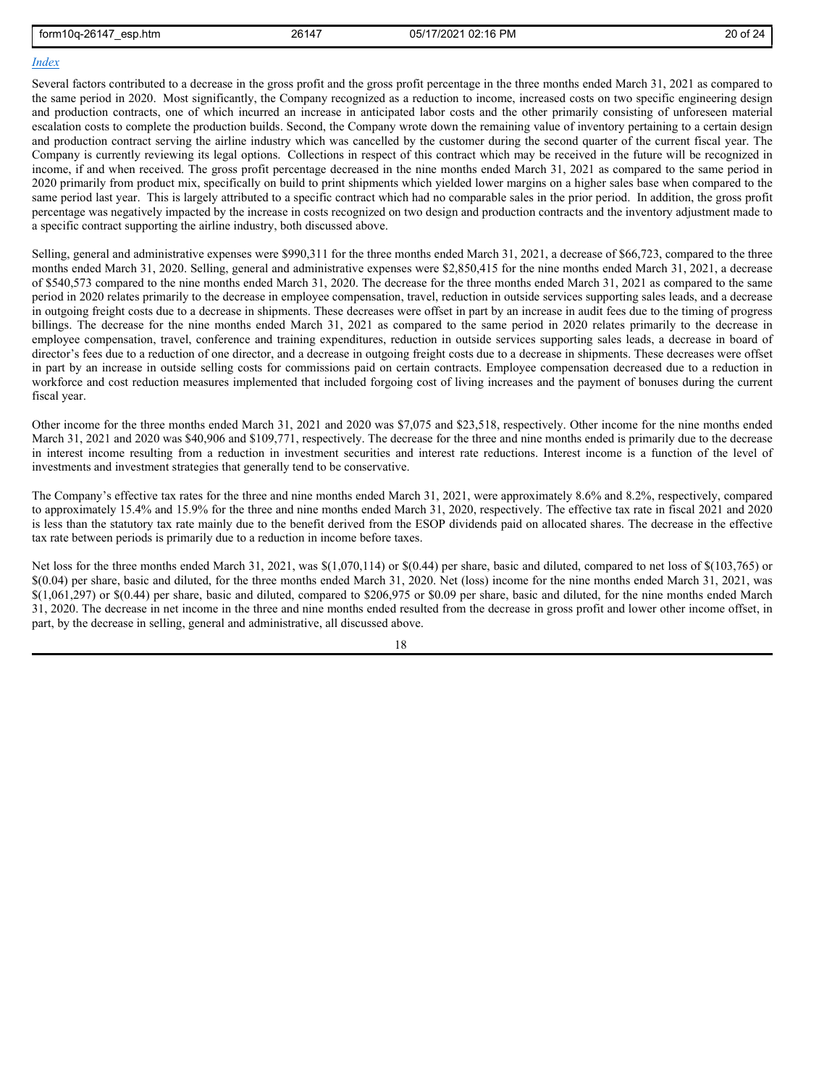| form10q-26147_esp.htn |  |
|-----------------------|--|
|-----------------------|--|

Several factors contributed to a decrease in the gross profit and the gross profit percentage in the three months ended March 31, 2021 as compared to the same period in 2020. Most significantly, the Company recognized as a reduction to income, increased costs on two specific engineering design and production contracts, one of which incurred an increase in anticipated labor costs and the other primarily consisting of unforeseen material escalation costs to complete the production builds. Second, the Company wrote down the remaining value of inventory pertaining to a certain design and production contract serving the airline industry which was cancelled by the customer during the second quarter of the current fiscal year. The Company is currently reviewing its legal options. Collections in respect of this contract which may be received in the future will be recognized in income, if and when received. The gross profit percentage decreased in the nine months ended March 31, 2021 as compared to the same period in 2020 primarily from product mix, specifically on build to print shipments which yielded lower margins on a higher sales base when compared to the same period last year. This is largely attributed to a specific contract which had no comparable sales in the prior period. In addition, the gross profit percentage was negatively impacted by the increase in costs recognized on two design and production contracts and the inventory adjustment made to a specific contract supporting the airline industry, both discussed above.

Selling, general and administrative expenses were \$990,311 for the three months ended March 31, 2021, a decrease of \$66,723, compared to the three months ended March 31, 2020. Selling, general and administrative expenses were \$2,850,415 for the nine months ended March 31, 2021, a decrease of \$540,573 compared to the nine months ended March 31, 2020. The decrease for the three months ended March 31, 2021 as compared to the same period in 2020 relates primarily to the decrease in employee compensation, travel, reduction in outside services supporting sales leads, and a decrease in outgoing freight costs due to a decrease in shipments. These decreases were offset in part by an increase in audit fees due to the timing of progress billings. The decrease for the nine months ended March 31, 2021 as compared to the same period in 2020 relates primarily to the decrease in employee compensation, travel, conference and training expenditures, reduction in outside services supporting sales leads, a decrease in board of director's fees due to a reduction of one director, and a decrease in outgoing freight costs due to a decrease in shipments. These decreases were offset in part by an increase in outside selling costs for commissions paid on certain contracts. Employee compensation decreased due to a reduction in workforce and cost reduction measures implemented that included forgoing cost of living increases and the payment of bonuses during the current fiscal year.

Other income for the three months ended March 31, 2021 and 2020 was \$7,075 and \$23,518, respectively. Other income for the nine months ended March 31, 2021 and 2020 was \$40,906 and \$109,771, respectively. The decrease for the three and nine months ended is primarily due to the decrease in interest income resulting from a reduction in investment securities and interest rate reductions. Interest income is a function of the level of investments and investment strategies that generally tend to be conservative.

The Company's effective tax rates for the three and nine months ended March 31, 2021, were approximately 8.6% and 8.2%, respectively, compared to approximately 15.4% and 15.9% for the three and nine months ended March 31, 2020, respectively. The effective tax rate in fiscal 2021 and 2020 is less than the statutory tax rate mainly due to the benefit derived from the ESOP dividends paid on allocated shares. The decrease in the effective tax rate between periods is primarily due to a reduction in income before taxes.

Net loss for the three months ended March 31, 2021, was \$(1,070,114) or \$(0.44) per share, basic and diluted, compared to net loss of \$(103,765) or \$(0.04) per share, basic and diluted, for the three months ended March 31, 2020. Net (loss) income for the nine months ended March 31, 2021, was \$(1,061,297) or \$(0.44) per share, basic and diluted, compared to \$206,975 or \$0.09 per share, basic and diluted, for the nine months ended March 31, 2020. The decrease in net income in the three and nine months ended resulted from the decrease in gross profit and lower other income offset, in part, by the decrease in selling, general and administrative, all discussed above.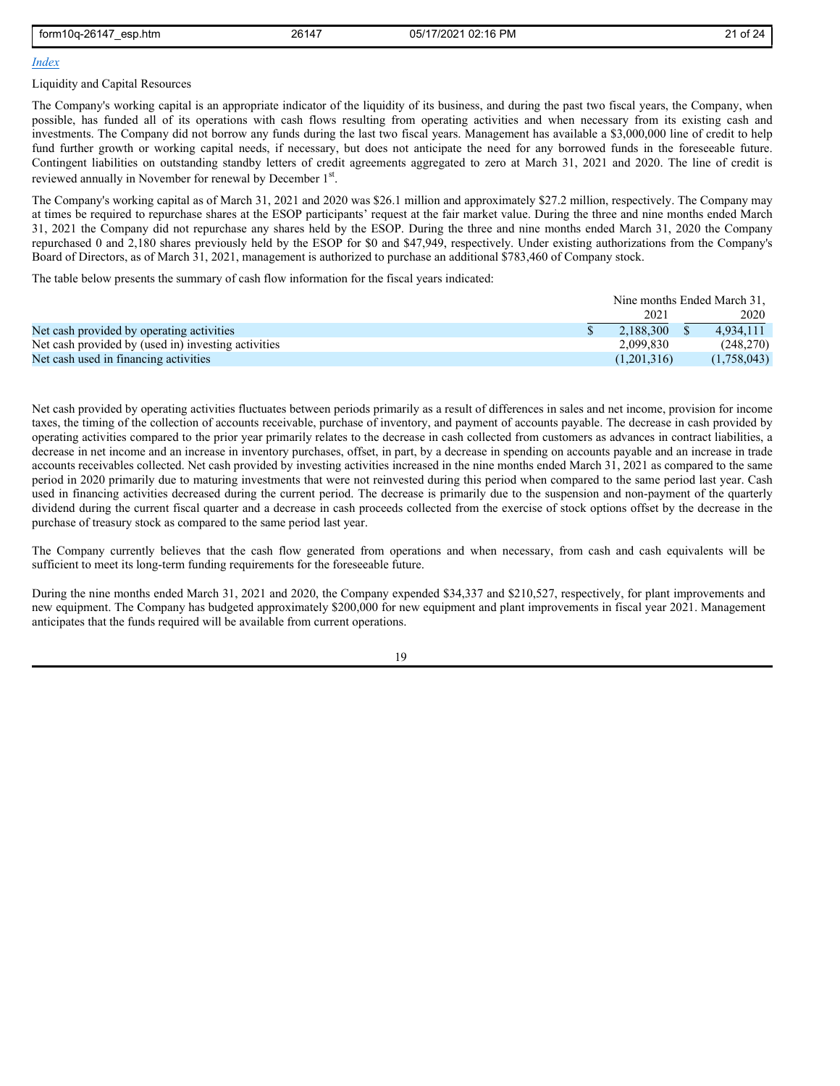#### Liquidity and Capital Resources

The Company's working capital is an appropriate indicator of the liquidity of its business, and during the past two fiscal years, the Company, when possible, has funded all of its operations with cash flows resulting from operating activities and when necessary from its existing cash and investments. The Company did not borrow any funds during the last two fiscal years. Management has available a \$3,000,000 line of credit to help fund further growth or working capital needs, if necessary, but does not anticipate the need for any borrowed funds in the foreseeable future. Contingent liabilities on outstanding standby letters of credit agreements aggregated to zero at March 31, 2021 and 2020. The line of credit is reviewed annually in November for renewal by December 1<sup>st</sup>.

The Company's working capital as of March 31, 2021 and 2020 was \$26.1 million and approximately \$27.2 million, respectively. The Company may at times be required to repurchase shares at the ESOP participants' request at the fair market value. During the three and nine months ended March 31, 2021 the Company did not repurchase any shares held by the ESOP. During the three and nine months ended March 31, 2020 the Company repurchased 0 and 2,180 shares previously held by the ESOP for \$0 and \$47,949, respectively. Under existing authorizations from the Company's Board of Directors, as of March 31, 2021, management is authorized to purchase an additional \$783,460 of Company stock.

The table below presents the summary of cash flow information for the fiscal years indicated:

|                                                     | Nine months Ended March 31, |  |             |
|-----------------------------------------------------|-----------------------------|--|-------------|
|                                                     | 2021                        |  | 2020        |
| Net cash provided by operating activities           | 2,188,300                   |  | 4.934.111   |
| Net cash provided by (used in) investing activities | 2,099,830                   |  | (248,270)   |
| Net cash used in financing activities               | (1,201,316)                 |  | (1,758,043) |

Net cash provided by operating activities fluctuates between periods primarily as a result of differences in sales and net income, provision for income taxes, the timing of the collection of accounts receivable, purchase of inventory, and payment of accounts payable. The decrease in cash provided by operating activities compared to the prior year primarily relates to the decrease in cash collected from customers as advances in contract liabilities, a decrease in net income and an increase in inventory purchases, offset, in part, by a decrease in spending on accounts payable and an increase in trade accounts receivables collected. Net cash provided by investing activities increased in the nine months ended March 31, 2021 as compared to the same period in 2020 primarily due to maturing investments that were not reinvested during this period when compared to the same period last year. Cash used in financing activities decreased during the current period. The decrease is primarily due to the suspension and non-payment of the quarterly dividend during the current fiscal quarter and a decrease in cash proceeds collected from the exercise of stock options offset by the decrease in the purchase of treasury stock as compared to the same period last year.

The Company currently believes that the cash flow generated from operations and when necessary, from cash and cash equivalents will be sufficient to meet its long-term funding requirements for the foreseeable future.

During the nine months ended March 31, 2021 and 2020, the Company expended \$34,337 and \$210,527, respectively, for plant improvements and new equipment. The Company has budgeted approximately \$200,000 for new equipment and plant improvements in fiscal year 2021. Management anticipates that the funds required will be available from current operations.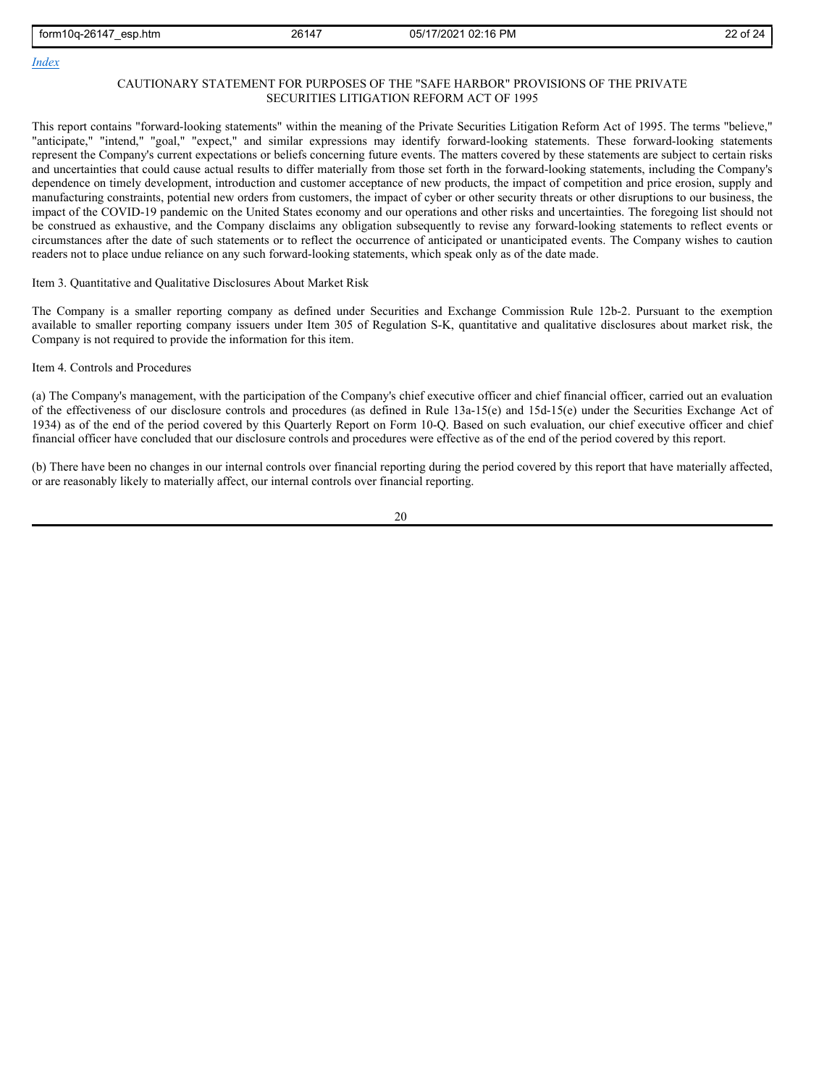#### CAUTIONARY STATEMENT FOR PURPOSES OF THE "SAFE HARBOR" PROVISIONS OF THE PRIVATE SECURITIES LITIGATION REFORM ACT OF 1995

This report contains "forward-looking statements" within the meaning of the Private Securities Litigation Reform Act of 1995. The terms "believe," "anticipate," "intend," "goal," "expect," and similar expressions may identify forward-looking statements. These forward-looking statements represent the Company's current expectations or beliefs concerning future events. The matters covered by these statements are subject to certain risks and uncertainties that could cause actual results to differ materially from those set forth in the forward-looking statements, including the Company's dependence on timely development, introduction and customer acceptance of new products, the impact of competition and price erosion, supply and manufacturing constraints, potential new orders from customers, the impact of cyber or other security threats or other disruptions to our business, the impact of the COVID-19 pandemic on the United States economy and our operations and other risks and uncertainties. The foregoing list should not be construed as exhaustive, and the Company disclaims any obligation subsequently to revise any forward-looking statements to reflect events or circumstances after the date of such statements or to reflect the occurrence of anticipated or unanticipated events. The Company wishes to caution readers not to place undue reliance on any such forward-looking statements, which speak only as of the date made.

#### Item 3. Quantitative and Qualitative Disclosures About Market Risk

The Company is a smaller reporting company as defined under Securities and Exchange Commission Rule 12b-2. Pursuant to the exemption available to smaller reporting company issuers under Item 305 of Regulation S-K, quantitative and qualitative disclosures about market risk, the Company is not required to provide the information for this item.

#### Item 4. Controls and Procedures

(a) The Company's management, with the participation of the Company's chief executive officer and chief financial officer, carried out an evaluation of the effectiveness of our disclosure controls and procedures (as defined in Rule 13a-15(e) and 15d-15(e) under the Securities Exchange Act of 1934) as of the end of the period covered by this Quarterly Report on Form 10-Q. Based on such evaluation, our chief executive officer and chief financial officer have concluded that our disclosure controls and procedures were effective as of the end of the period covered by this report.

(b) There have been no changes in our internal controls over financial reporting during the period covered by this report that have materially affected, or are reasonably likely to materially affect, our internal controls over financial reporting.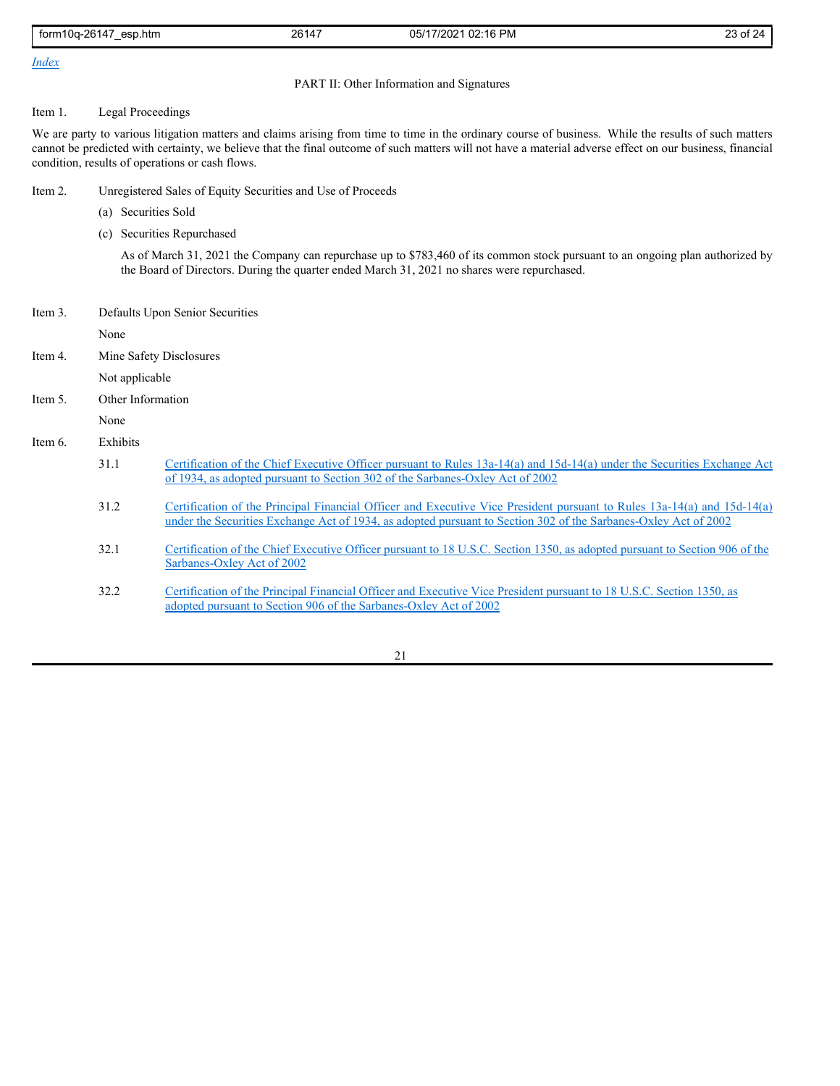| form10q-26147_esp.htm |                     | 26147                                                             | 05/17/2021 02:16 PM                                                                                                                                                                                                                                                                                               | 23 of 24 |
|-----------------------|---------------------|-------------------------------------------------------------------|-------------------------------------------------------------------------------------------------------------------------------------------------------------------------------------------------------------------------------------------------------------------------------------------------------------------|----------|
| <i>Index</i>          |                     |                                                                   |                                                                                                                                                                                                                                                                                                                   |          |
|                       |                     |                                                                   | PART II: Other Information and Signatures                                                                                                                                                                                                                                                                         |          |
| Item 1.               | Legal Proceedings   |                                                                   |                                                                                                                                                                                                                                                                                                                   |          |
|                       |                     | condition, results of operations or cash flows.                   | We are party to various litigation matters and claims arising from time to time in the ordinary course of business. While the results of such matters<br>cannot be predicted with certainty, we believe that the final outcome of such matters will not have a material adverse effect on our business, financial |          |
| Item 2.               |                     | Unregistered Sales of Equity Securities and Use of Proceeds       |                                                                                                                                                                                                                                                                                                                   |          |
|                       | (a) Securities Sold |                                                                   |                                                                                                                                                                                                                                                                                                                   |          |
|                       |                     | (c) Securities Repurchased                                        |                                                                                                                                                                                                                                                                                                                   |          |
|                       |                     |                                                                   | As of March 31, 2021 the Company can repurchase up to \$783,460 of its common stock pursuant to an ongoing plan authorized by<br>the Board of Directors. During the quarter ended March 31, 2021 no shares were repurchased.                                                                                      |          |
| Item 3.               |                     | Defaults Upon Senior Securities                                   |                                                                                                                                                                                                                                                                                                                   |          |
|                       | None                |                                                                   |                                                                                                                                                                                                                                                                                                                   |          |
| Item 4.               |                     | Mine Safety Disclosures                                           |                                                                                                                                                                                                                                                                                                                   |          |
|                       | Not applicable      |                                                                   |                                                                                                                                                                                                                                                                                                                   |          |
| Item 5.               | Other Information   |                                                                   |                                                                                                                                                                                                                                                                                                                   |          |
|                       | None                |                                                                   |                                                                                                                                                                                                                                                                                                                   |          |
| Item 6.               | Exhibits            |                                                                   |                                                                                                                                                                                                                                                                                                                   |          |
|                       | 31.1                |                                                                   | Certification of the Chief Executive Officer pursuant to Rules 13a-14(a) and 15d-14(a) under the Securities Exchange Act<br>of 1934, as adopted pursuant to Section 302 of the Sarbanes-Oxley Act of 2002                                                                                                         |          |
|                       | 31.2                |                                                                   | Certification of the Principal Financial Officer and Executive Vice President pursuant to Rules 13a-14(a) and 15d-14(a)<br>under the Securities Exchange Act of 1934, as adopted pursuant to Section 302 of the Sarbanes-Oxley Act of 2002                                                                        |          |
|                       | 32.1                | Sarbanes-Oxley Act of 2002                                        | Certification of the Chief Executive Officer pursuant to 18 U.S.C. Section 1350, as adopted pursuant to Section 906 of the                                                                                                                                                                                        |          |
|                       | 32.2                | adopted pursuant to Section 906 of the Sarbanes-Oxley Act of 2002 | Certification of the Principal Financial Officer and Executive Vice President pursuant to 18 U.S.C. Section 1350, as                                                                                                                                                                                              |          |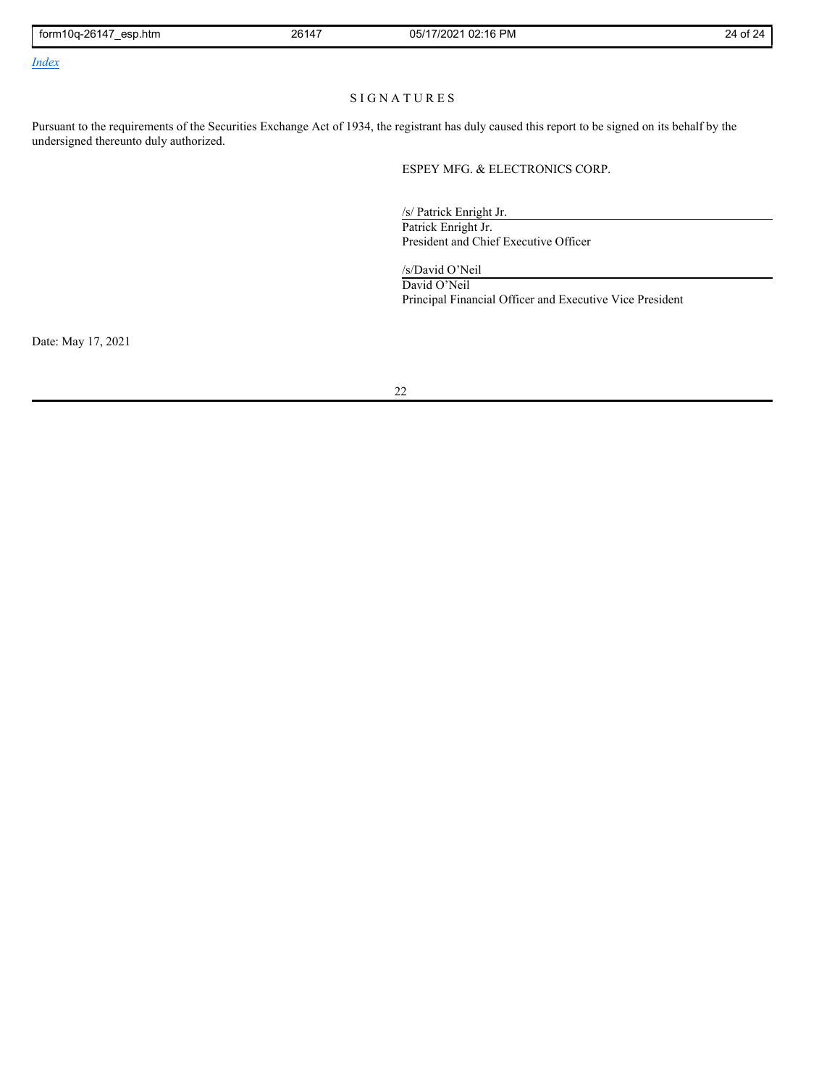| form10q-26147_esp.htm | 26147 | 05/17/2021 02:16 PM | 24 of 24 |
|-----------------------|-------|---------------------|----------|
| <b>Index</b>          |       |                     |          |
|                       |       |                     |          |

#### S I G N A T U R E S

Pursuant to the requirements of the Securities Exchange Act of 1934, the registrant has duly caused this report to be signed on its behalf by the undersigned thereunto duly authorized.

ESPEY MFG. & ELECTRONICS CORP.

/s/ Patrick Enright Jr. Patrick Enright Jr. President and Chief Executive Officer

/s/David O'Neil David O'Neil Principal Financial Officer and Executive Vice President

Date: May 17, 2021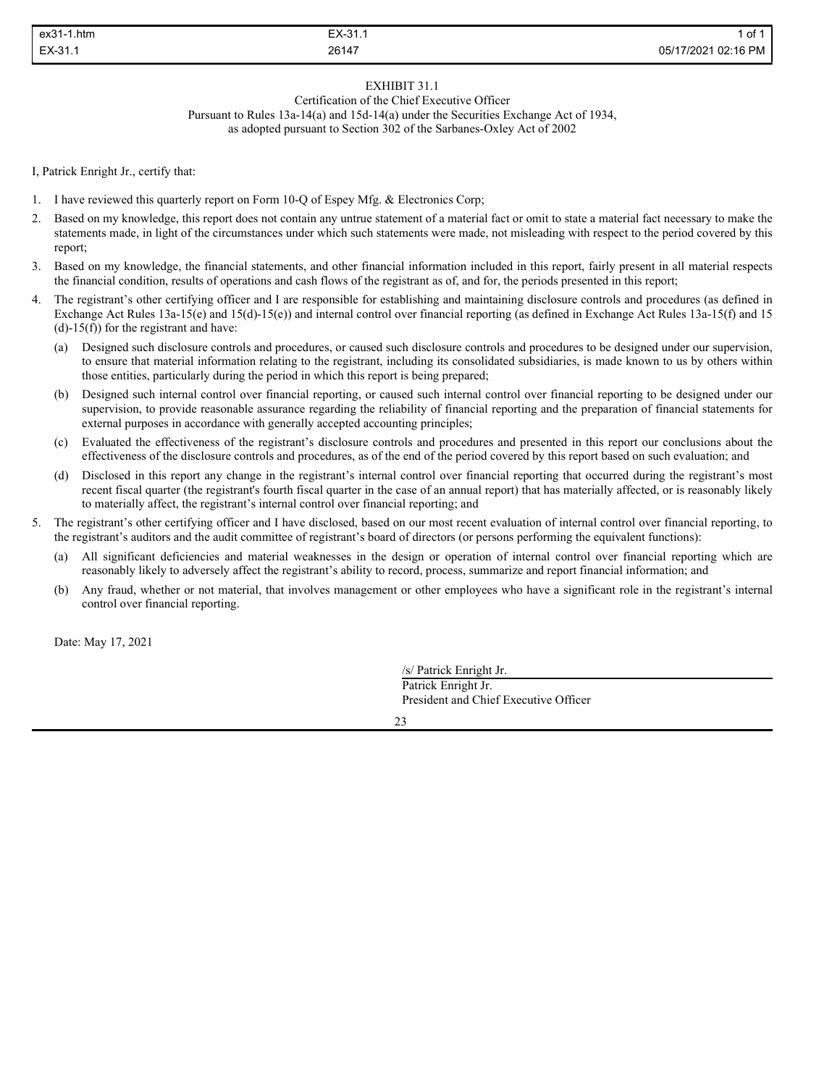#### EXHIBIT 31.1

Certification of the Chief Executive Officer Pursuant to Rules 13a-14(a) and 15d-14(a) under the Securities Exchange Act of 1934, as adopted pursuant to Section 302 of the Sarbanes-Oxley Act of 2002

I, Patrick Enright Jr., certify that:

- 1. I have reviewed this quarterly report on Form 10-Q of Espey Mfg. & Electronics Corp;
- 2. Based on my knowledge, this report does not contain any untrue statement of a material fact or omit to state a material fact necessary to make the statements made, in light of the circumstances under which such statements were made, not misleading with respect to the period covered by this report;
- 3. Based on my knowledge, the financial statements, and other financial information included in this report, fairly present in all material respects the financial condition, results of operations and cash flows of the registrant as of, and for, the periods presented in this report;
- 4. The registrant's other certifying officer and I are responsible for establishing and maintaining disclosure controls and procedures (as defined in Exchange Act Rules 13a-15(e) and 15(d)-15(e)) and internal control over financial reporting (as defined in Exchange Act Rules 13a-15(f) and 15  $(d)-15(f)$  for the registrant and have:
	- (a) Designed such disclosure controls and procedures, or caused such disclosure controls and procedures to be designed under our supervision, to ensure that material information relating to the registrant, including its consolidated subsidiaries, is made known to us by others within those entities, particularly during the period in which this report is being prepared;
	- (b) Designed such internal control over financial reporting, or caused such internal control over financial reporting to be designed under our supervision, to provide reasonable assurance regarding the reliability of financial reporting and the preparation of financial statements for external purposes in accordance with generally accepted accounting principles;
	- (c) Evaluated the effectiveness of the registrant's disclosure controls and procedures and presented in this report our conclusions about the effectiveness of the disclosure controls and procedures, as of the end of the period covered by this report based on such evaluation; and
	- (d) Disclosed in this report any change in the registrant's internal control over financial reporting that occurred during the registrant's most recent fiscal quarter (the registrant's fourth fiscal quarter in the case of an annual report) that has materially affected, or is reasonably likely to materially affect, the registrant's internal control over financial reporting; and
- 5. The registrant's other certifying officer and I have disclosed, based on our most recent evaluation of internal control over financial reporting, to the registrant's auditors and the audit committee of registrant's board of directors (or persons performing the equivalent functions):
	- (a) All significant deficiencies and material weaknesses in the design or operation of internal control over financial reporting which are reasonably likely to adversely affect the registrant's ability to record, process, summarize and report financial information; and
	- (b) Any fraud, whether or not material, that involves management or other employees who have a significant role in the registrant's internal control over financial reporting.

Date: May 17, 2021

/s/ Patrick Enright Jr. Patrick Enright Jr. President and Chief Executive Officer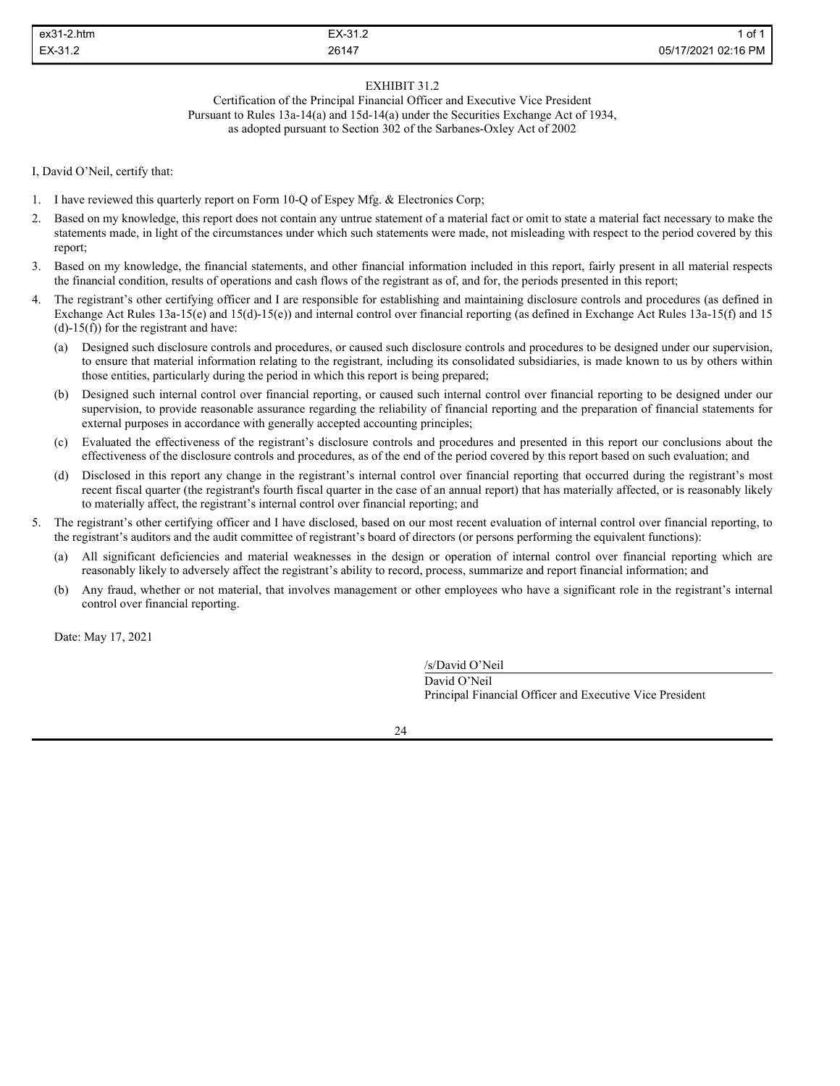| $ex31-2.htm$ | EX-31.2 | 1 of 1              |
|--------------|---------|---------------------|
| EX-31.2      | 26147   | 05/17/2021 02:16 PM |

#### EXHIBIT 31.2

Certification of the Principal Financial Officer and Executive Vice President Pursuant to Rules 13a-14(a) and 15d-14(a) under the Securities Exchange Act of 1934, as adopted pursuant to Section 302 of the Sarbanes-Oxley Act of 2002

I, David O'Neil, certify that:

- 1. I have reviewed this quarterly report on Form 10-Q of Espey Mfg. & Electronics Corp;
- 2. Based on my knowledge, this report does not contain any untrue statement of a material fact or omit to state a material fact necessary to make the statements made, in light of the circumstances under which such statements were made, not misleading with respect to the period covered by this report;
- 3. Based on my knowledge, the financial statements, and other financial information included in this report, fairly present in all material respects the financial condition, results of operations and cash flows of the registrant as of, and for, the periods presented in this report;
- 4. The registrant's other certifying officer and I are responsible for establishing and maintaining disclosure controls and procedures (as defined in Exchange Act Rules 13a-15(e) and 15(d)-15(e)) and internal control over financial reporting (as defined in Exchange Act Rules 13a-15(f) and 15  $(d)-15(f)$  for the registrant and have:
	- (a) Designed such disclosure controls and procedures, or caused such disclosure controls and procedures to be designed under our supervision, to ensure that material information relating to the registrant, including its consolidated subsidiaries, is made known to us by others within those entities, particularly during the period in which this report is being prepared;
	- (b) Designed such internal control over financial reporting, or caused such internal control over financial reporting to be designed under our supervision, to provide reasonable assurance regarding the reliability of financial reporting and the preparation of financial statements for external purposes in accordance with generally accepted accounting principles;
	- (c) Evaluated the effectiveness of the registrant's disclosure controls and procedures and presented in this report our conclusions about the effectiveness of the disclosure controls and procedures, as of the end of the period covered by this report based on such evaluation; and
	- (d) Disclosed in this report any change in the registrant's internal control over financial reporting that occurred during the registrant's most recent fiscal quarter (the registrant's fourth fiscal quarter in the case of an annual report) that has materially affected, or is reasonably likely to materially affect, the registrant's internal control over financial reporting; and
- 5. The registrant's other certifying officer and I have disclosed, based on our most recent evaluation of internal control over financial reporting, to the registrant's auditors and the audit committee of registrant's board of directors (or persons performing the equivalent functions):
	- (a) All significant deficiencies and material weaknesses in the design or operation of internal control over financial reporting which are reasonably likely to adversely affect the registrant's ability to record, process, summarize and report financial information; and
	- (b) Any fraud, whether or not material, that involves management or other employees who have a significant role in the registrant's internal control over financial reporting.

Date: May 17, 2021

/s/David O'Neil

David O'Neil Principal Financial Officer and Executive Vice President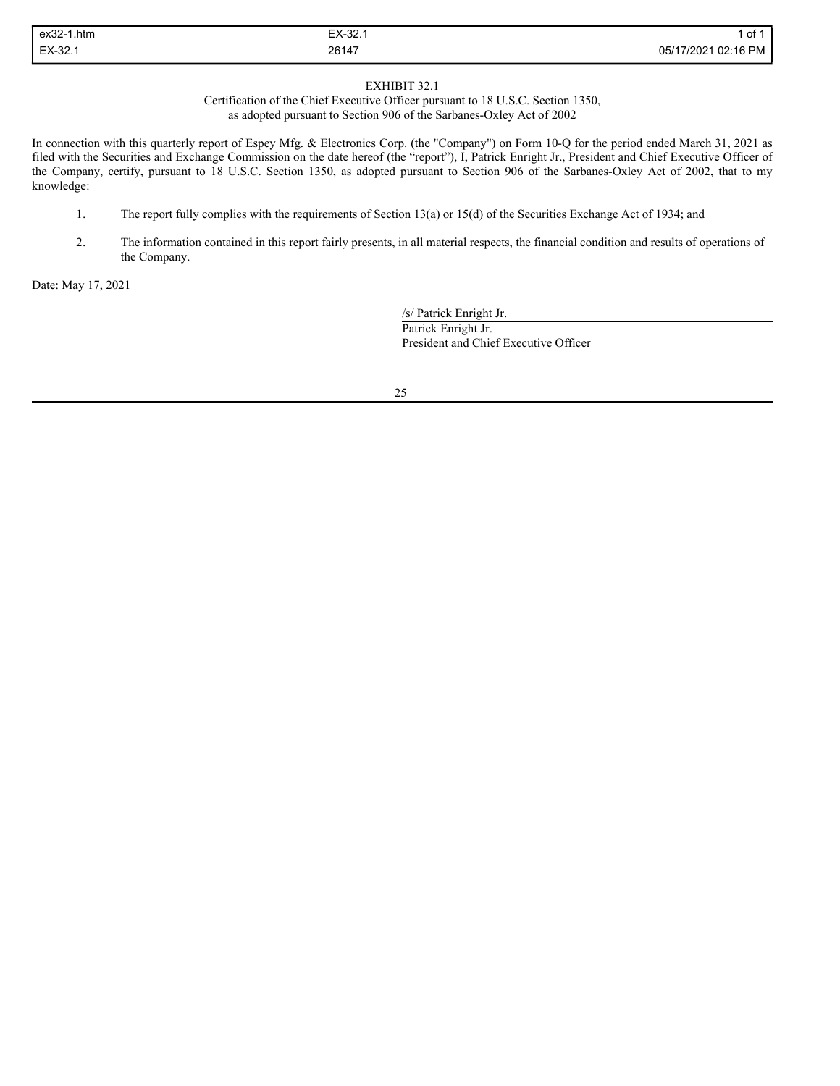| ex32-<br>1.htm | $\mathbf{v}$<br>$\sim$<br>– ∟X- ≦<br>-JZ. | 0t                                        |
|----------------|-------------------------------------------|-------------------------------------------|
| EX-32.1        | 26147                                     | 05/17/2021<br>PM<br>02:16<br>$\mathbf{u}$ |

#### EXHIBIT 32.1

Certification of the Chief Executive Officer pursuant to 18 U.S.C. Section 1350, as adopted pursuant to Section 906 of the Sarbanes-Oxley Act of 2002

In connection with this quarterly report of Espey Mfg. & Electronics Corp. (the "Company") on Form 10-Q for the period ended March 31, 2021 as filed with the Securities and Exchange Commission on the date hereof (the "report"), I, Patrick Enright Jr., President and Chief Executive Officer of the Company, certify, pursuant to 18 U.S.C. Section 1350, as adopted pursuant to Section 906 of the Sarbanes-Oxley Act of 2002, that to my knowledge:

- 1. The report fully complies with the requirements of Section 13(a) or 15(d) of the Securities Exchange Act of 1934; and
- 2. The information contained in this report fairly presents, in all material respects, the financial condition and results of operations of the Company.

Date: May 17, 2021

/s/ Patrick Enright Jr. Patrick Enright Jr. President and Chief Executive Officer